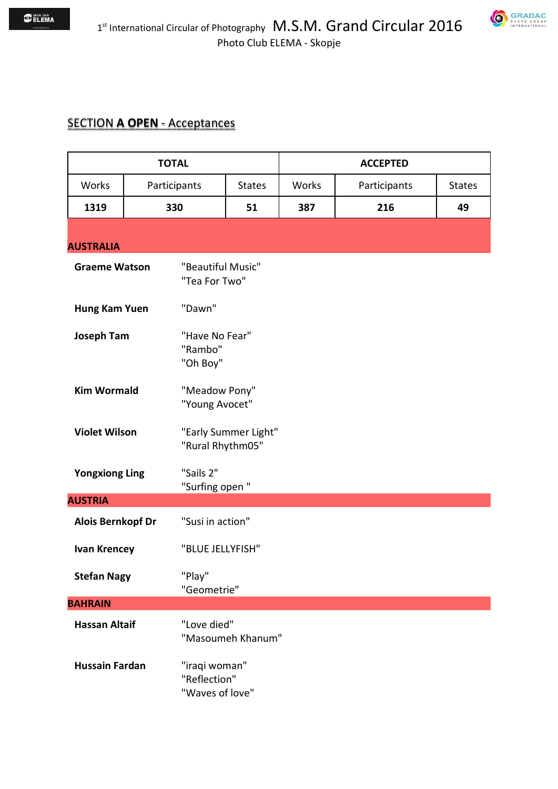#### SECTION **A OPEN** - Acceptances

| <b>TOTAL</b>             |                                             |                                                  | <b>ACCEPTED</b>      |       |              |  |               |
|--------------------------|---------------------------------------------|--------------------------------------------------|----------------------|-------|--------------|--|---------------|
| Works                    | Participants                                |                                                  | <b>States</b>        | Works | Participants |  | <b>States</b> |
| 1319                     | 330                                         |                                                  | 51                   | 387   | 216          |  | 49            |
| <b>AUSTRALIA</b>         |                                             |                                                  |                      |       |              |  |               |
| <b>Graeme Watson</b>     |                                             | "Beautiful Music"<br>"Tea For Two"               |                      |       |              |  |               |
| Hung Kam Yuen            |                                             | "Dawn"                                           |                      |       |              |  |               |
| <b>Joseph Tam</b>        |                                             | "Have No Fear"<br>"Rambo"<br>"Oh Boy"            |                      |       |              |  |               |
| <b>Kim Wormald</b>       |                                             | "Meadow Pony"<br>"Young Avocet"                  |                      |       |              |  |               |
| <b>Violet Wilson</b>     |                                             | "Rural Rhythm05"                                 | "Early Summer Light" |       |              |  |               |
| <b>Yongxiong Ling</b>    |                                             | "Sails 2"<br>"Surfing open"                      |                      |       |              |  |               |
| <b>AUSTRIA</b>           |                                             |                                                  |                      |       |              |  |               |
| <b>Alois Bernkopf Dr</b> |                                             | "Susi in action"                                 |                      |       |              |  |               |
| <b>Ivan Krencey</b>      |                                             | "BLUE JELLYFISH"                                 |                      |       |              |  |               |
|                          | "Play"<br><b>Stefan Nagy</b><br>"Geometrie" |                                                  |                      |       |              |  |               |
| <b>BAHRAIN</b>           |                                             |                                                  |                      |       |              |  |               |
| <b>Hassan Altaif</b>     |                                             | "Love died"                                      | "Masoumeh Khanum"    |       |              |  |               |
| <b>Hussain Fardan</b>    |                                             | "iraqi woman"<br>"Reflection"<br>"Waves of love" |                      |       |              |  |               |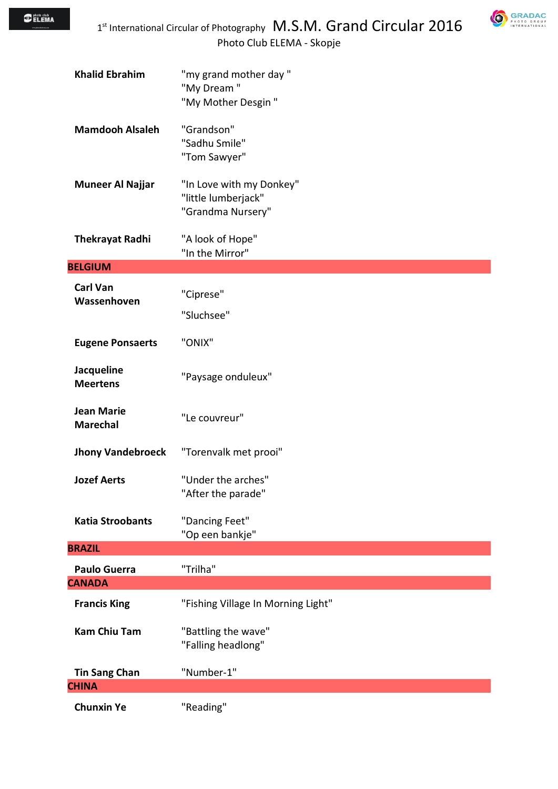

| <b>Khalid Ebrahim</b>                | "my grand mother day"<br>"My Dream"<br>"My Mother Desgin"            |
|--------------------------------------|----------------------------------------------------------------------|
| <b>Mamdooh Alsaleh</b>               | "Grandson"<br>"Sadhu Smile"<br>"Tom Sawyer"                          |
| <b>Muneer Al Najjar</b>              | "In Love with my Donkey"<br>"little lumberjack"<br>"Grandma Nursery" |
| <b>Thekrayat Radhi</b>               | "A look of Hope"<br>"In the Mirror"                                  |
| <b>BELGIUM</b>                       |                                                                      |
| <b>Carl Van</b><br>Wassenhoven       | "Ciprese"<br>"Sluchsee"                                              |
| <b>Eugene Ponsaerts</b>              | "ONIX"                                                               |
| Jacqueline<br><b>Meertens</b>        | "Paysage onduleux"                                                   |
| <b>Jean Marie</b><br><b>Marechal</b> | "Le couvreur"                                                        |
| <b>Jhony Vandebroeck</b>             | "Torenvalk met prooi"                                                |
| <b>Jozef Aerts</b>                   | "Under the arches"<br>"After the parade"                             |
| <b>Katia Stroobants</b>              | "Dancing Feet"<br>"Op een bankje"                                    |
| <b>BRAZIL</b>                        |                                                                      |
| <b>Paulo Guerra</b>                  | "Trilha"                                                             |
| <b>CANADA</b>                        |                                                                      |
| <b>Francis King</b>                  | "Fishing Village In Morning Light"                                   |
| <b>Kam Chiu Tam</b>                  | "Battling the wave"<br>"Falling headlong"                            |
| <b>Tin Sang Chan</b>                 | "Number-1"                                                           |
| <b>CHINA</b>                         |                                                                      |
| <b>Chunxin Ye</b>                    | "Reading"                                                            |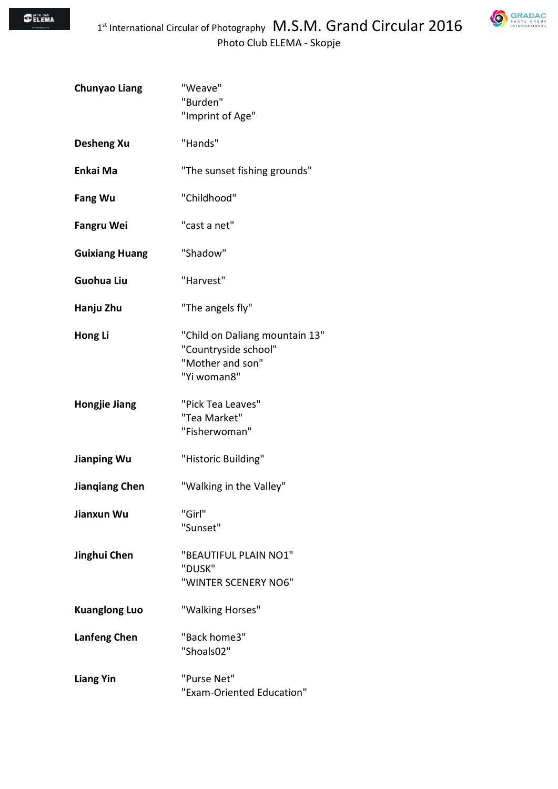

| <b>Chunyao Liang</b>  | "Weave"<br>"Burden"<br>"Imprint of Age"                                                   |
|-----------------------|-------------------------------------------------------------------------------------------|
| <b>Desheng Xu</b>     | "Hands"                                                                                   |
| Enkai Ma              | "The sunset fishing grounds"                                                              |
| <b>Fang Wu</b>        | "Childhood"                                                                               |
| <b>Fangru Wei</b>     | "cast a net"                                                                              |
| <b>Guixiang Huang</b> | "Shadow"                                                                                  |
| <b>Guohua Liu</b>     | "Harvest"                                                                                 |
| Hanju Zhu             | "The angels fly"                                                                          |
| Hong Li               | "Child on Daliang mountain 13"<br>"Countryside school"<br>"Mother and son"<br>"Yi woman8" |
| <b>Hongjie Jiang</b>  | "Pick Tea Leaves"<br>"Tea Market"<br>"Fisherwoman"                                        |
| Jianping Wu           | "Historic Building"                                                                       |
| <b>Jiangiang Chen</b> | "Walking in the Valley"                                                                   |
| Jianxun Wu            | "Girl"<br>"Sunset"                                                                        |
| Jinghui Chen          | "BEAUTIFUL PLAIN NO1"<br>"DUSK"<br>"WINTER SCENERY NO6"                                   |
| <b>Kuanglong Luo</b>  | "Walking Horses"                                                                          |
| <b>Lanfeng Chen</b>   | "Back home3"<br>"Shoals02"                                                                |
| <b>Liang Yin</b>      | "Purse Net"<br>"Exam-Oriented Education"                                                  |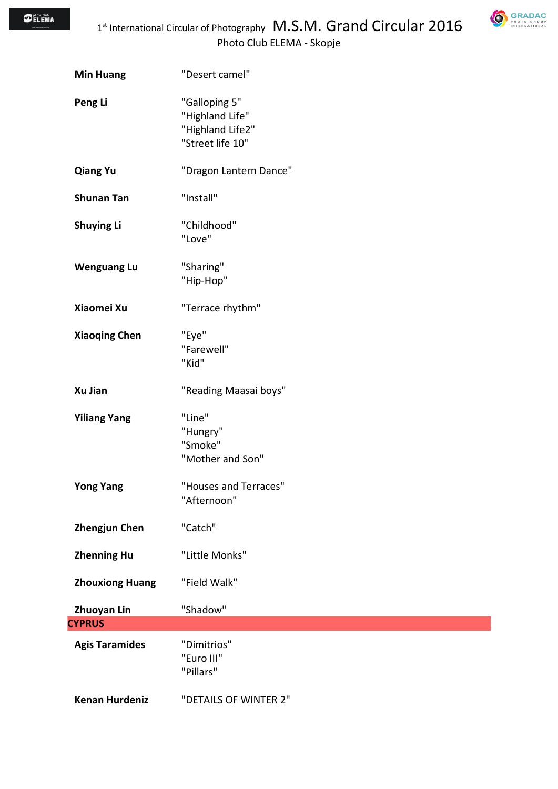**GRADAC** 

| <b>Min Huang</b>       | "Desert camel"                                                           |
|------------------------|--------------------------------------------------------------------------|
| Peng Li                | "Galloping 5"<br>"Highland Life"<br>"Highland Life2"<br>"Street life 10" |
| <b>Qiang Yu</b>        | "Dragon Lantern Dance"                                                   |
| <b>Shunan Tan</b>      | "Install"                                                                |
| <b>Shuying Li</b>      | "Childhood"<br>"Love"                                                    |
| <b>Wenguang Lu</b>     | "Sharing"<br>"Hip-Hop"                                                   |
| Xiaomei Xu             | "Terrace rhythm"                                                         |
| <b>Xiaoqing Chen</b>   | "Eye"<br>"Farewell"<br>"Kid"                                             |
| Xu Jian                | "Reading Maasai boys"                                                    |
| <b>Yiliang Yang</b>    | "Line"<br>"Hungry"<br>"Smoke"<br>"Mother and Son"                        |
| <b>Yong Yang</b>       | "Houses and Terraces"<br>"Afternoon"                                     |
| <b>Zhengjun Chen</b>   | "Catch"                                                                  |
| <b>Zhenning Hu</b>     | "Little Monks"                                                           |
| <b>Zhouxiong Huang</b> | "Field Walk"                                                             |
| <b>Zhuoyan Lin</b>     | "Shadow"                                                                 |
| <b>CYPRUS</b>          |                                                                          |
| <b>Agis Taramides</b>  | "Dimitrios"<br>"Euro III"<br>"Pillars"                                   |
| <b>Kenan Hurdeniz</b>  | "DETAILS OF WINTER 2"                                                    |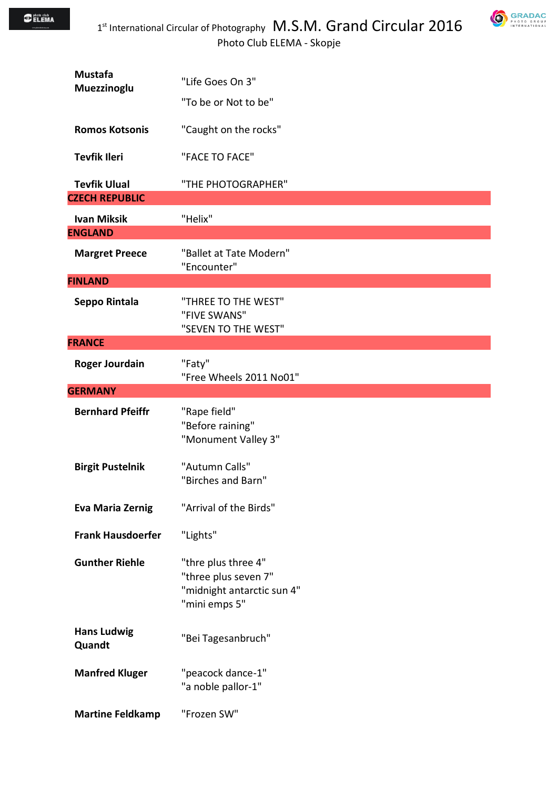

| <b>Mustafa</b><br>Muezzinoglu                | "Life Goes On 3"                                                                           |
|----------------------------------------------|--------------------------------------------------------------------------------------------|
|                                              | "To be or Not to be"                                                                       |
| <b>Romos Kotsonis</b>                        | "Caught on the rocks"                                                                      |
| <b>Tevfik Ileri</b>                          | "FACE TO FACE"                                                                             |
| <b>Tevfik Ulual</b><br><b>CZECH REPUBLIC</b> | "THE PHOTOGRAPHER"                                                                         |
| <b>Ivan Miksik</b>                           | "Helix"                                                                                    |
| <b>ENGLAND</b>                               |                                                                                            |
| <b>Margret Preece</b>                        | "Ballet at Tate Modern"<br>"Encounter"                                                     |
| <b>FINLAND</b>                               |                                                                                            |
| Seppo Rintala                                | "THREE TO THE WEST"<br>"FIVE SWANS"<br>"SEVEN TO THE WEST"                                 |
| <b>FRANCE</b>                                |                                                                                            |
| <b>Roger Jourdain</b>                        | "Faty"<br>"Free Wheels 2011 No01"                                                          |
| <b>GERMANY</b>                               |                                                                                            |
| <b>Bernhard Pfeiffr</b>                      | "Rape field"<br>"Before raining"<br>"Monument Valley 3"                                    |
|                                              |                                                                                            |
| <b>Birgit Pustelnik</b>                      | "Autumn Calls"<br>"Birches and Barn"                                                       |
| <b>Eva Maria Zernig</b>                      | "Arrival of the Birds"                                                                     |
| <b>Frank Hausdoerfer</b>                     | "Lights"                                                                                   |
| <b>Gunther Riehle</b>                        | "thre plus three 4"<br>"three plus seven 7"<br>"midnight antarctic sun 4"<br>"mini emps 5" |
| <b>Hans Ludwig</b><br>Quandt                 | "Bei Tagesanbruch"                                                                         |
| <b>Manfred Kluger</b>                        | "peacock dance-1"<br>"a noble pallor-1"                                                    |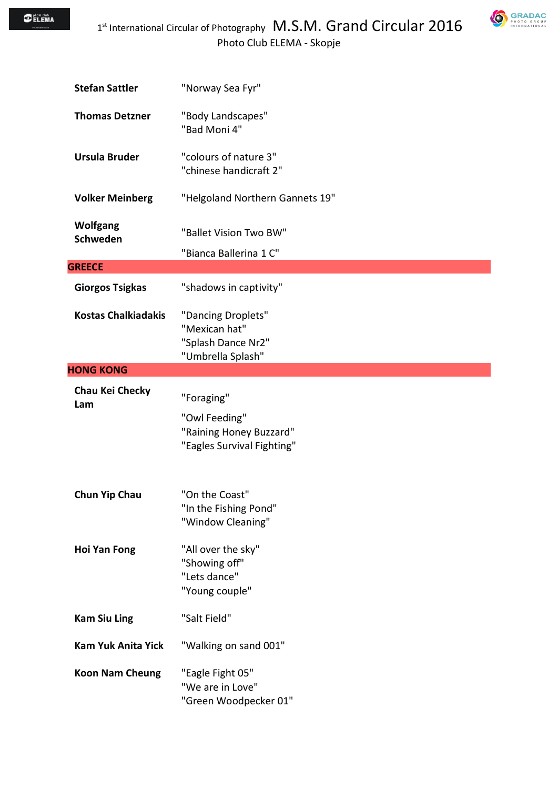

| <b>Stefan Sattler</b>       | "Norway Sea Fyr"                                                                     |
|-----------------------------|--------------------------------------------------------------------------------------|
| <b>Thomas Detzner</b>       | "Body Landscapes"<br>"Bad Moni 4"                                                    |
| <b>Ursula Bruder</b>        | "colours of nature 3"<br>"chinese handicraft 2"                                      |
| <b>Volker Meinberg</b>      | "Helgoland Northern Gannets 19"                                                      |
| <b>Wolfgang</b><br>Schweden | "Ballet Vision Two BW"<br>"Bianca Ballerina 1 C"                                     |
| <b>GREECE</b>               |                                                                                      |
| <b>Giorgos Tsigkas</b>      | "shadows in captivity"                                                               |
| <b>Kostas Chalkiadakis</b>  | "Dancing Droplets"<br>"Mexican hat"<br>"Splash Dance Nr2"<br>"Umbrella Splash"       |
| <b>HONG KONG</b>            |                                                                                      |
| Chau Kei Checky<br>Lam      | "Foraging"<br>"Owl Feeding"<br>"Raining Honey Buzzard"<br>"Eagles Survival Fighting" |
| <b>Chun Yip Chau</b>        | "On the Coast"<br>"In the Fishing Pond"<br>"Window Cleaning"                         |
| <b>Hoi Yan Fong</b>         | "All over the sky"<br>"Showing off"<br>"Lets dance"<br>"Young couple"                |
| <b>Kam Siu Ling</b>         | "Salt Field"                                                                         |
| <b>Kam Yuk Anita Yick</b>   | "Walking on sand 001"                                                                |
| <b>Koon Nam Cheung</b>      | "Eagle Fight 05"<br>"We are in Love"<br>"Green Woodpecker 01"                        |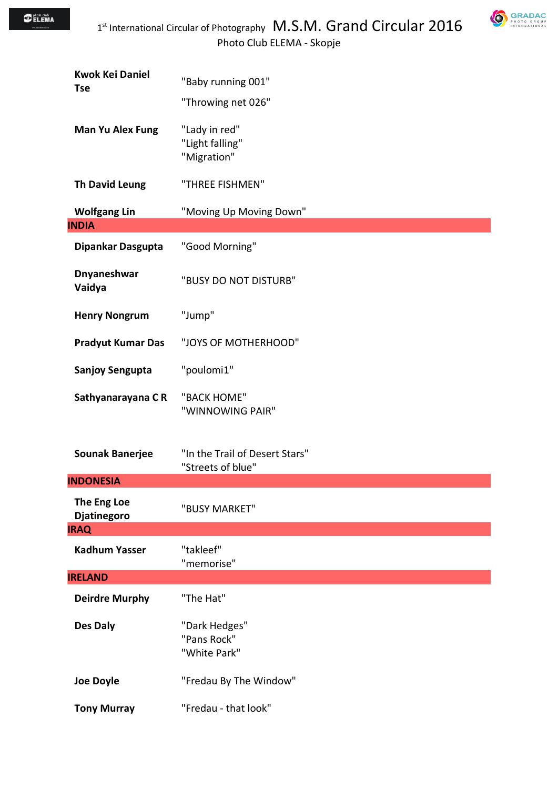**GRADAC** 

| <b>Kwok Kei Daniel</b><br><b>Tse</b> | "Baby running 001"                                  |
|--------------------------------------|-----------------------------------------------------|
|                                      | "Throwing net 026"                                  |
| <b>Man Yu Alex Fung</b>              | "Lady in red"<br>"Light falling"<br>"Migration"     |
| <b>Th David Leung</b>                | "THREE FISHMEN"                                     |
| <b>Wolfgang Lin</b>                  | "Moving Up Moving Down"                             |
| <b>INDIA</b>                         |                                                     |
| Dipankar Dasgupta                    | "Good Morning"                                      |
| <b>Dnyaneshwar</b><br>Vaidya         | "BUSY DO NOT DISTURB"                               |
| <b>Henry Nongrum</b>                 | "Jump"                                              |
| <b>Pradyut Kumar Das</b>             | "JOYS OF MOTHERHOOD"                                |
| <b>Sanjoy Sengupta</b>               | "poulomi1"                                          |
| Sathyanarayana CR                    | "BACK HOME"<br>"WINNOWING PAIR"                     |
| <b>Sounak Banerjee</b>               | "In the Trail of Desert Stars"<br>"Streets of blue" |
| <b>INDONESIA</b>                     |                                                     |
| The Eng Loe<br><b>Djatinegoro</b>    | "BUSY MARKET"                                       |
| <b>IRAQ</b>                          |                                                     |
| <b>Kadhum Yasser</b>                 | "takleef"<br>"memorise"                             |
| <b>IRELAND</b>                       |                                                     |
| <b>Deirdre Murphy</b>                | "The Hat"                                           |
| Des Daly                             | "Dark Hedges"<br>"Pans Rock"<br>"White Park"        |
| <b>Joe Doyle</b>                     | "Fredau By The Window"                              |
| <b>Tony Murray</b>                   | "Fredau - that look"                                |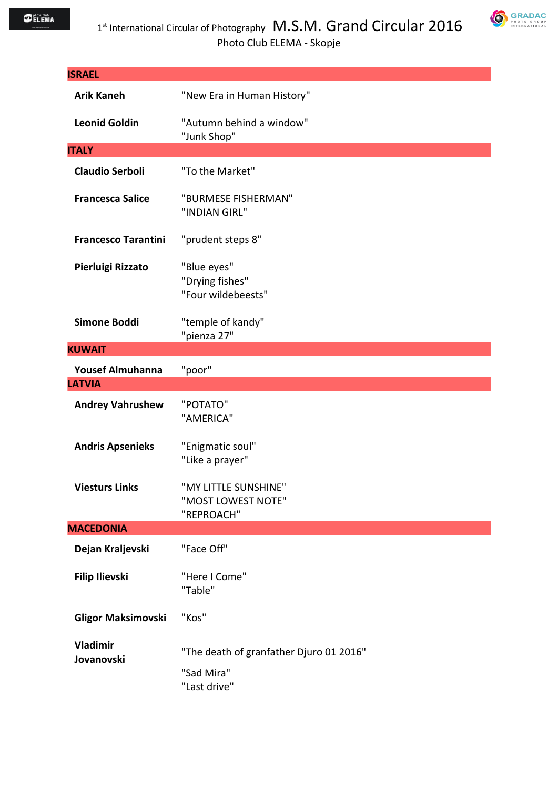| <b>ISRAEL</b>                 |                                                                       |
|-------------------------------|-----------------------------------------------------------------------|
| <b>Arik Kaneh</b>             | "New Era in Human History"                                            |
| <b>Leonid Goldin</b>          | "Autumn behind a window"<br>"Junk Shop"                               |
| <b>ITALY</b>                  |                                                                       |
| <b>Claudio Serboli</b>        | "To the Market"                                                       |
| <b>Francesca Salice</b>       | "BURMESE FISHERMAN"<br>"INDIAN GIRL"                                  |
| <b>Francesco Tarantini</b>    | "prudent steps 8"                                                     |
| Pierluigi Rizzato             | "Blue eyes"<br>"Drying fishes"<br>"Four wildebeests"                  |
| <b>Simone Boddi</b>           | "temple of kandy"<br>"pienza 27"                                      |
| <b>KUWAIT</b>                 |                                                                       |
| <b>Yousef Almuhanna</b>       | "poor"                                                                |
| <b>LATVIA</b>                 |                                                                       |
| <b>Andrey Vahrushew</b>       | "POTATO"<br>"AMERICA"                                                 |
| <b>Andris Apsenieks</b>       | "Enigmatic soul"<br>"Like a prayer"                                   |
| <b>Viesturs Links</b>         | "MY LITTLE SUNSHINE"<br>"MOST LOWEST NOTE"<br>"REPROACH"              |
| <b>MACEDONIA</b>              |                                                                       |
| Dejan Kraljevski              | "Face Off"                                                            |
| <b>Filip Ilievski</b>         | "Here I Come"<br>"Table"                                              |
| <b>Gligor Maksimovski</b>     | "Kos"                                                                 |
| <b>Vladimir</b><br>Jovanovski | "The death of granfather Djuro 01 2016"<br>"Sad Mira"<br>"Last drive" |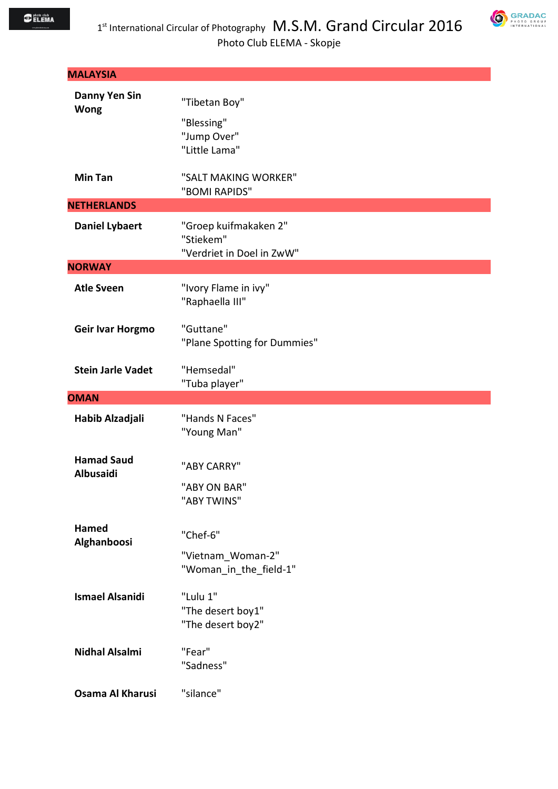| <b>MALAYSIA</b>                     |                                                                 |
|-------------------------------------|-----------------------------------------------------------------|
| <b>Danny Yen Sin</b><br><b>Wong</b> | "Tibetan Boy"<br>"Blessing"<br>"Jump Over"<br>"Little Lama"     |
| <b>Min Tan</b>                      | "SALT MAKING WORKER"<br>"BOMI RAPIDS"                           |
| <b>NETHERLANDS</b>                  |                                                                 |
| <b>Daniel Lybaert</b>               | "Groep kuifmakaken 2"<br>"Stiekem"<br>"Verdriet in Doel in ZwW" |
| <b>NORWAY</b>                       |                                                                 |
| <b>Atle Sveen</b>                   | "Ivory Flame in ivy"<br>"Raphaella III"                         |
| Geir Ivar Horgmo                    | "Guttane"<br>"Plane Spotting for Dummies"                       |
| <b>Stein Jarle Vadet</b>            | "Hemsedal"<br>"Tuba player"                                     |
|                                     |                                                                 |
| <b>OMAN</b>                         |                                                                 |
| Habib Alzadjali                     | "Hands N Faces"<br>"Young Man"                                  |
| <b>Hamad Saud</b><br>Albusaidi      | "ABY CARRY"<br>"ABY ON BAR"<br>"ABY TWINS"                      |
| <b>Hamed</b><br>Alghanboosi         | "Chef-6"<br>"Vietnam Woman-2"<br>"Woman in the field-1"         |
| <b>Ismael Alsanidi</b>              | "Lulu 1"<br>"The desert boy1"<br>"The desert boy2"              |
| <b>Nidhal Alsalmi</b>               | "Fear"<br>"Sadness"                                             |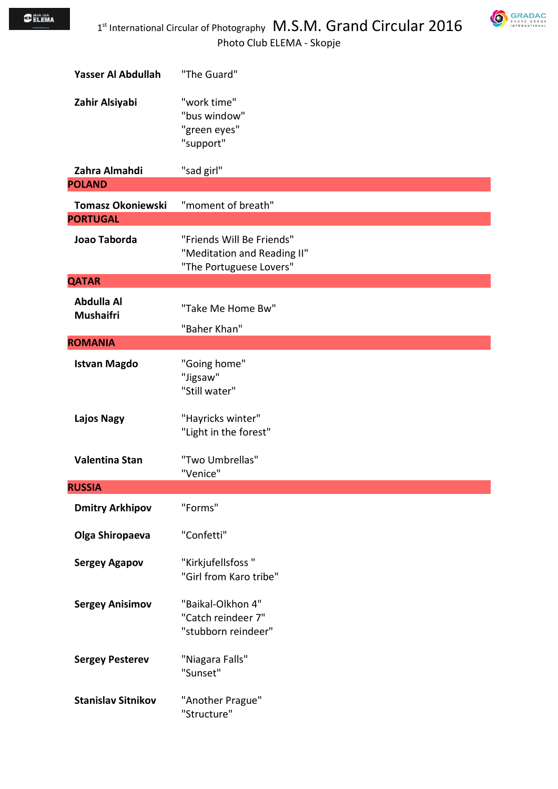

| Yasser Al Abdullah                          | "The Guard"                                                                         |
|---------------------------------------------|-------------------------------------------------------------------------------------|
| Zahir Alsiyabi                              | "work time"<br>"bus window"<br>"green eyes"<br>"support"                            |
| Zahra Almahdi                               | "sad girl"                                                                          |
| <b>POLAND</b>                               |                                                                                     |
| <b>Tomasz Okoniewski</b><br><b>PORTUGAL</b> | "moment of breath"                                                                  |
| Joao Taborda                                | "Friends Will Be Friends"<br>"Meditation and Reading II"<br>"The Portuguese Lovers" |
| <b>QATAR</b>                                |                                                                                     |
| <b>Abdulla Al</b><br><b>Mushaifri</b>       | "Take Me Home Bw"<br>"Baher Khan"                                                   |
| <b>ROMANIA</b>                              |                                                                                     |
| <b>Istvan Magdo</b>                         | "Going home"<br>"Jigsaw"<br>"Still water"                                           |
| Lajos Nagy                                  | "Hayricks winter"<br>"Light in the forest"                                          |
| <b>Valentina Stan</b>                       | "Two Umbrellas"<br>"Venice"                                                         |
| <b>RUSSIA</b>                               |                                                                                     |
| <b>Dmitry Arkhipov</b>                      | "Forms"                                                                             |
| Olga Shiropaeva                             | "Confetti"                                                                          |
| <b>Sergey Agapov</b>                        | "Kirkjufellsfoss"<br>"Girl from Karo tribe"                                         |
| <b>Sergey Anisimov</b>                      | "Baikal-Olkhon 4"<br>"Catch reindeer 7"<br>"stubborn reindeer"                      |
| <b>Sergey Pesterev</b>                      | "Niagara Falls"<br>"Sunset"                                                         |
| <b>Stanislav Sitnikov</b>                   | "Another Prague"<br>"Structure"                                                     |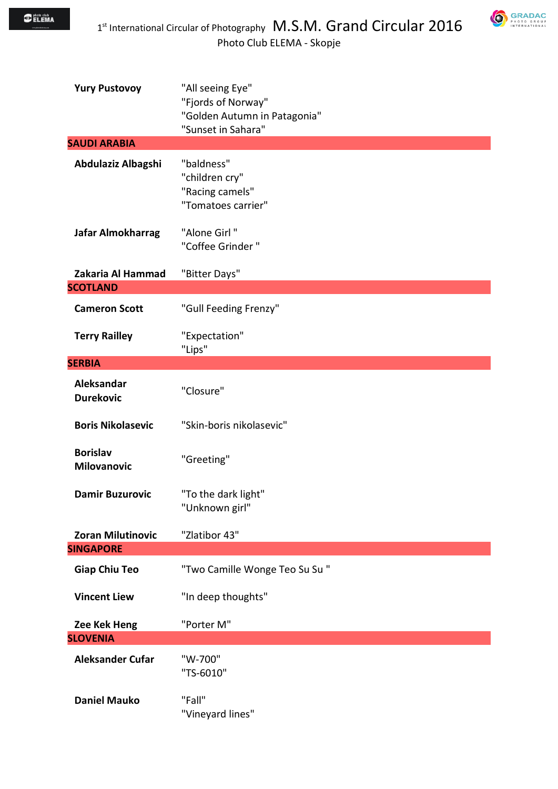

| <b>Yury Pustovoy</b>                  | "All seeing Eye"<br>"Fjords of Norway"<br>"Golden Autumn in Patagonia"<br>"Sunset in Sahara" |
|---------------------------------------|----------------------------------------------------------------------------------------------|
| <b>SAUDI ARABIA</b>                   |                                                                                              |
| Abdulaziz Albagshi                    | "baldness"<br>"children cry"<br>"Racing camels"<br>"Tomatoes carrier"                        |
| Jafar Almokharrag                     | "Alone Girl"<br>"Coffee Grinder"                                                             |
| Zakaria Al Hammad                     | "Bitter Days"                                                                                |
| <b>SCOTLAND</b>                       |                                                                                              |
| <b>Cameron Scott</b>                  | "Gull Feeding Frenzy"                                                                        |
| <b>Terry Railley</b>                  | "Expectation"<br>"Lips"                                                                      |
| <b>SERBIA</b>                         |                                                                                              |
| Aleksandar<br><b>Durekovic</b>        | "Closure"                                                                                    |
| <b>Boris Nikolasevic</b>              | "Skin-boris nikolasevic"                                                                     |
| <b>Borislav</b><br><b>Milovanovic</b> | "Greeting"                                                                                   |
| <b>Damir Buzurovic</b>                | "To the dark light"<br>"Unknown girl"                                                        |
| <b>Zoran Milutinovic</b>              | "Zlatibor 43"                                                                                |
| <b>SINGAPORE</b>                      |                                                                                              |
| <b>Giap Chiu Teo</b>                  | "Two Camille Wonge Teo Su Su "                                                               |
| <b>Vincent Liew</b>                   | "In deep thoughts"                                                                           |
| Zee Kek Heng                          | "Porter M"                                                                                   |
| <b>SLOVENIA</b>                       |                                                                                              |
| <b>Aleksander Cufar</b>               | "W-700"<br>"TS-6010"                                                                         |
| <b>Daniel Mauko</b>                   | "Fall"<br>"Vineyard lines"                                                                   |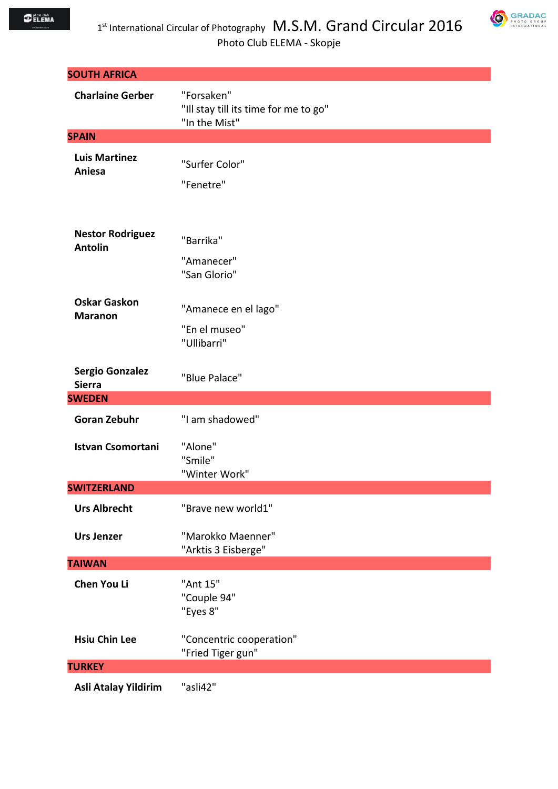

|                                           | Photo Club ELEMA - Skopje                                            |
|-------------------------------------------|----------------------------------------------------------------------|
| <b>SOUTH AFRICA</b>                       |                                                                      |
| <b>Charlaine Gerber</b>                   | "Forsaken"<br>"Ill stay till its time for me to go"<br>"In the Mist" |
| <b>SPAIN</b>                              |                                                                      |
| <b>Luis Martinez</b><br>Aniesa            | "Surfer Color"<br>"Fenetre"                                          |
| <b>Nestor Rodriguez</b><br><b>Antolin</b> | "Barrika"<br>"Amanecer"<br>"San Glorio"                              |
| <b>Oskar Gaskon</b><br><b>Maranon</b>     | "Amanece en el lago"<br>"En el museo"<br>"Ullibarri"                 |
| <b>Sergio Gonzalez</b><br><b>Sierra</b>   | "Blue Palace"                                                        |
| <b>SWEDEN</b>                             |                                                                      |
| <b>Goran Zebuhr</b>                       | "I am shadowed"                                                      |
| <b>Istvan Csomortani</b>                  | "Alone"<br>"Smile"<br>"Winter Work"                                  |
| <b>SWITZERLAND</b>                        |                                                                      |
| <b>Urs Albrecht</b>                       | "Brave new world1"                                                   |
| <b>Urs Jenzer</b>                         | "Marokko Maenner"<br>"Arktis 3 Eisberge"                             |
| <b>TAIWAN</b>                             |                                                                      |
| <b>Chen You Li</b>                        | "Ant 15"<br>"Couple 94"<br>"Eyes 8"                                  |
| <b>Hsiu Chin Lee</b>                      | "Concentric cooperation"<br>"Fried Tiger gun"                        |
| <b>TURKEY</b>                             |                                                                      |
| Asli Atalay Yildirim                      | "asli42"                                                             |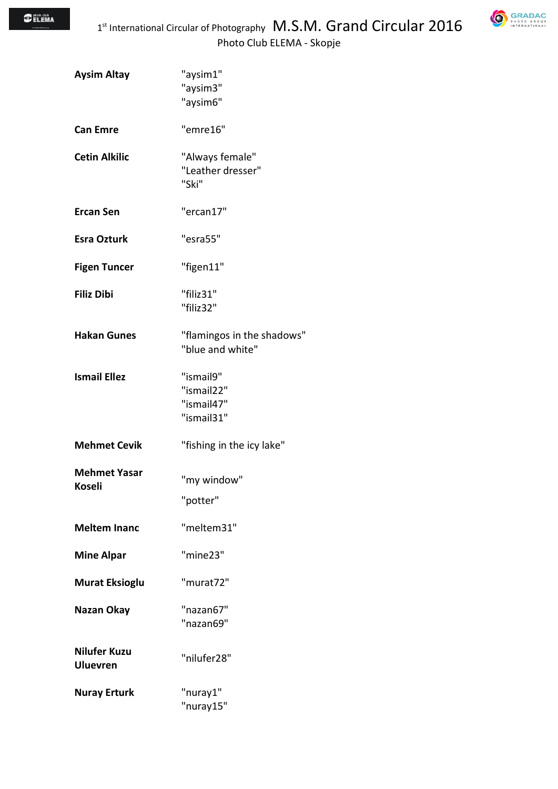**GRADAC** 

| <b>Aysim Altay</b>                     | "aysim1"<br>"aysim3"<br>"aysim6"                    |
|----------------------------------------|-----------------------------------------------------|
| <b>Can Emre</b>                        | "emre16"                                            |
| <b>Cetin Alkilic</b>                   | "Always female"<br>"Leather dresser"<br>"Ski"       |
| <b>Ercan Sen</b>                       | "ercan17"                                           |
| <b>Esra Ozturk</b>                     | "esra55"                                            |
| <b>Figen Tuncer</b>                    | "figen11"                                           |
| <b>Filiz Dibi</b>                      | "filiz31"<br>"filiz32"                              |
| <b>Hakan Gunes</b>                     | "flamingos in the shadows"<br>"blue and white"      |
| <b>Ismail Ellez</b>                    | "ismail9"<br>"ismail22"<br>"ismail47"<br>"ismail31" |
| <b>Mehmet Cevik</b>                    | "fishing in the icy lake"                           |
| <b>Mehmet Yasar</b><br>Koseli          | "my window"<br>"potter"                             |
| <b>Meltem Inanc</b>                    | "meltem31"                                          |
| <b>Mine Alpar</b>                      | "mine23"                                            |
| <b>Murat Eksioglu</b>                  | "murat72"                                           |
| Nazan Okay                             | "nazan67"<br>"nazan69"                              |
| <b>Nilufer Kuzu</b><br><b>Uluevren</b> | "nilufer28"                                         |
| <b>Nuray Erturk</b>                    | "nuray1"<br>"nuray15"                               |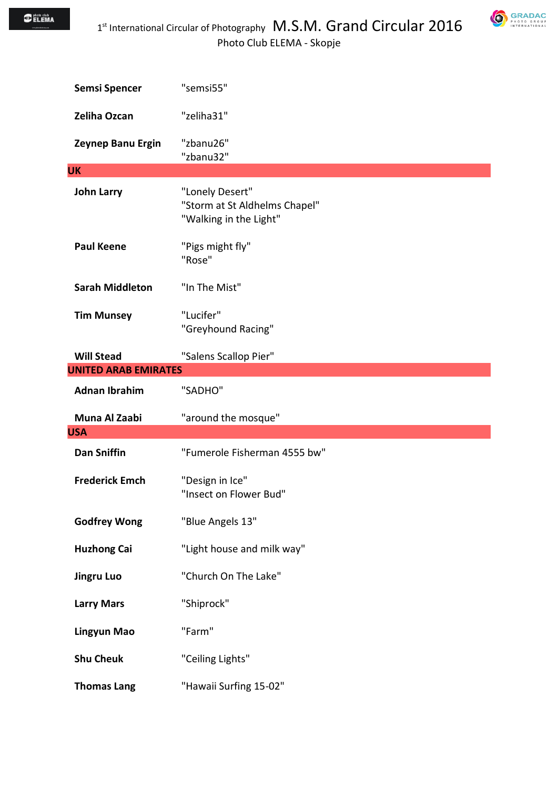$\bigcirc$  photo club<br> $\bigcirc$  ELEMA



| <b>Semsi Spencer</b>        | "semsi55"                                                                  |
|-----------------------------|----------------------------------------------------------------------------|
| Zeliha Ozcan                | "zeliha31"                                                                 |
| Zeynep Banu Ergin           | "zbanu26"<br>"zbanu32"                                                     |
| <b>UK</b>                   |                                                                            |
| <b>John Larry</b>           | "Lonely Desert"<br>"Storm at St Aldhelms Chapel"<br>"Walking in the Light" |
| <b>Paul Keene</b>           | "Pigs might fly"<br>"Rose"                                                 |
| <b>Sarah Middleton</b>      | "In The Mist"                                                              |
| <b>Tim Munsey</b>           | "Lucifer"<br>"Greyhound Racing"                                            |
| <b>Will Stead</b>           | "Salens Scallop Pier"                                                      |
| <b>UNITED ARAB EMIRATES</b> |                                                                            |
| <b>Adnan Ibrahim</b>        | "SADHO"                                                                    |
| Muna Al Zaabi               | "around the mosque"                                                        |
| <b>USA</b>                  |                                                                            |
| <b>Dan Sniffin</b>          | "Fumerole Fisherman 4555 bw"                                               |
|                             |                                                                            |
| <b>Frederick Emch</b>       | "Design in Ice"<br>"Insect on Flower Bud"                                  |
| <b>Godfrey Wong</b>         | "Blue Angels 13"                                                           |
| <b>Huzhong Cai</b>          | "Light house and milk way"                                                 |
| <b>Jingru Luo</b>           | "Church On The Lake"                                                       |
| <b>Larry Mars</b>           | "Shiprock"                                                                 |
| Lingyun Mao                 | "Farm"                                                                     |
| <b>Shu Cheuk</b>            | "Ceiling Lights"                                                           |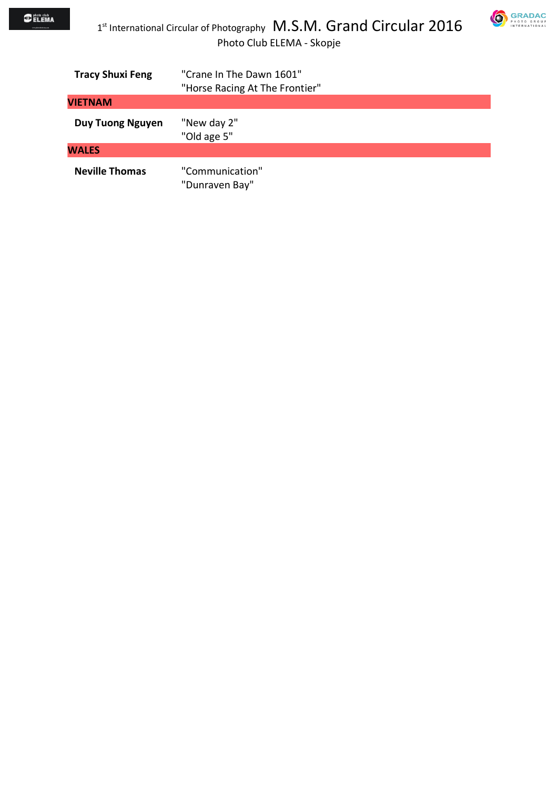

| <b>Tracy Shuxi Feng</b> | "Crane In The Dawn 1601"<br>"Horse Racing At The Frontier" |
|-------------------------|------------------------------------------------------------|
| VIETNAM                 |                                                            |
| <b>Duy Tuong Nguyen</b> | "New day 2"<br>"Old age 5"                                 |
| <b>WALES</b>            |                                                            |
| <b>Neville Thomas</b>   | "Communication"<br>"Dunraven Bay"                          |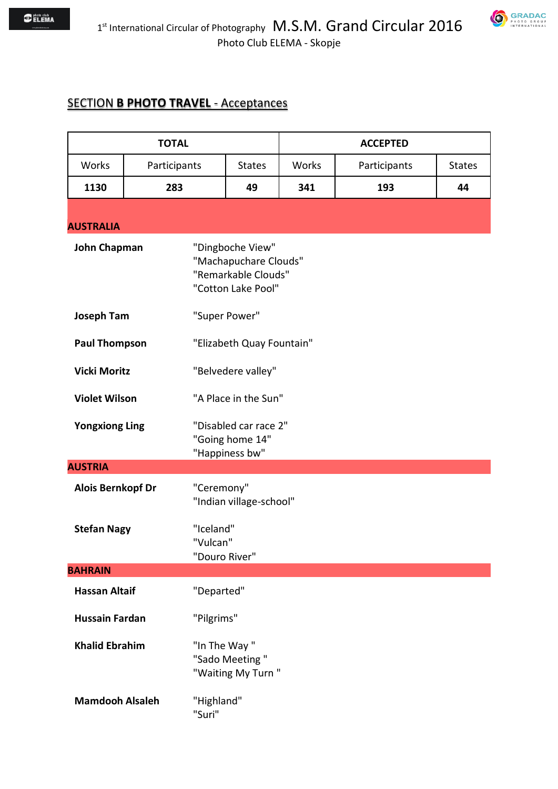$1^{\text{\tiny{st}}}$  International Circular of Photography  $\,$  M.S.M. Grand Circular 2016 Photo Club ELEMA - Skopje

## **SECTION B PHOTO TRAVEL - Acceptances**

| <b>TOTAL</b>             |              | <b>ACCEPTED</b>                        |                                                                                        |       |              |               |
|--------------------------|--------------|----------------------------------------|----------------------------------------------------------------------------------------|-------|--------------|---------------|
| Works                    | Participants |                                        | <b>States</b>                                                                          | Works | Participants | <b>States</b> |
| 1130                     | 283          |                                        | 49                                                                                     | 341   | 193          | 44            |
| <b>AUSTRALIA</b>         |              |                                        |                                                                                        |       |              |               |
| <b>John Chapman</b>      |              |                                        | "Dingboche View"<br>"Machapuchare Clouds"<br>"Remarkable Clouds"<br>"Cotton Lake Pool" |       |              |               |
| <b>Joseph Tam</b>        |              |                                        | "Super Power"                                                                          |       |              |               |
| <b>Paul Thompson</b>     |              |                                        | "Elizabeth Quay Fountain"                                                              |       |              |               |
| <b>Vicki Moritz</b>      |              |                                        | "Belvedere valley"                                                                     |       |              |               |
| <b>Violet Wilson</b>     |              |                                        | "A Place in the Sun"                                                                   |       |              |               |
| <b>Yongxiong Ling</b>    |              |                                        | "Disabled car race 2"<br>"Going home 14"<br>"Happiness bw"                             |       |              |               |
| <b>AUSTRIA</b>           |              |                                        |                                                                                        |       |              |               |
| <b>Alois Bernkopf Dr</b> |              | "Ceremony"                             | "Indian village-school"                                                                |       |              |               |
| <b>Stefan Nagy</b>       |              | "Iceland"<br>"Vulcan"<br>"Douro River" |                                                                                        |       |              |               |
| <b>BAHRAIN</b>           |              |                                        |                                                                                        |       |              |               |
| <b>Hassan Altaif</b>     |              | "Departed"                             |                                                                                        |       |              |               |
| <b>Hussain Fardan</b>    |              | "Pilgrims"                             |                                                                                        |       |              |               |
| <b>Khalid Ebrahim</b>    |              | "In The Way"                           | "Sado Meeting"<br>"Waiting My Turn"                                                    |       |              |               |
| <b>Mamdooh Alsaleh</b>   |              | "Highland"<br>"Suri"                   |                                                                                        |       |              |               |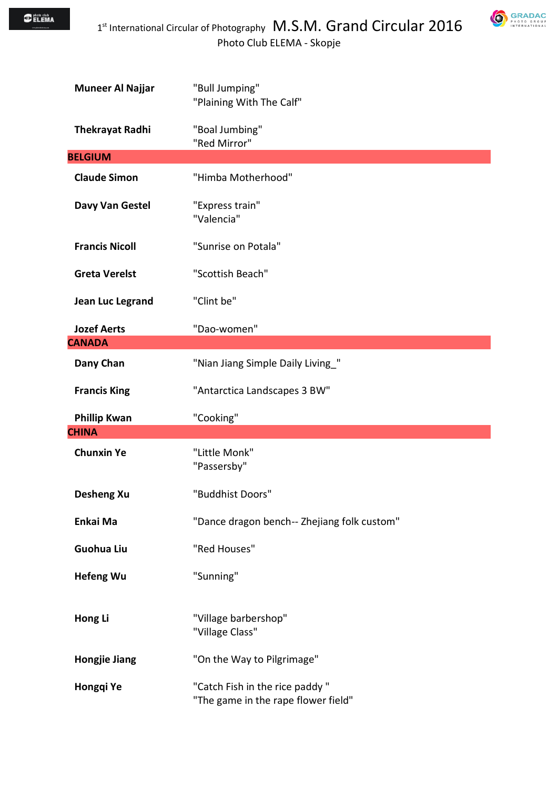

| <b>Muneer Al Najjar</b> | "Bull Jumping"<br>"Plaining With The Calf"  |
|-------------------------|---------------------------------------------|
| <b>Thekrayat Radhi</b>  | "Boal Jumbing"<br>"Red Mirror"              |
| <b>BELGIUM</b>          |                                             |
| <b>Claude Simon</b>     | "Himba Motherhood"                          |
| Davy Van Gestel         | "Express train"<br>"Valencia"               |
| <b>Francis Nicoll</b>   | "Sunrise on Potala"                         |
| <b>Greta Verelst</b>    | "Scottish Beach"                            |
| Jean Luc Legrand        | "Clint be"                                  |
| <b>Jozef Aerts</b>      | "Dao-women"                                 |
| <b>CANADA</b>           |                                             |
| Dany Chan               | "Nian Jiang Simple Daily Living_"           |
| <b>Francis King</b>     | "Antarctica Landscapes 3 BW"                |
|                         |                                             |
| <b>Phillip Kwan</b>     | "Cooking"                                   |
| <b>CHINA</b>            |                                             |
| <b>Chunxin Ye</b>       | "Little Monk"<br>"Passersby"                |
| <b>Desheng Xu</b>       | "Buddhist Doors"                            |
| Enkai Ma                | "Dance dragon bench-- Zhejiang folk custom" |
| <b>Guohua Liu</b>       | "Red Houses"                                |
| <b>Hefeng Wu</b>        | "Sunning"                                   |
| Hong Li                 | "Village barbershop"<br>"Village Class"     |
| <b>Hongjie Jiang</b>    | "On the Way to Pilgrimage"                  |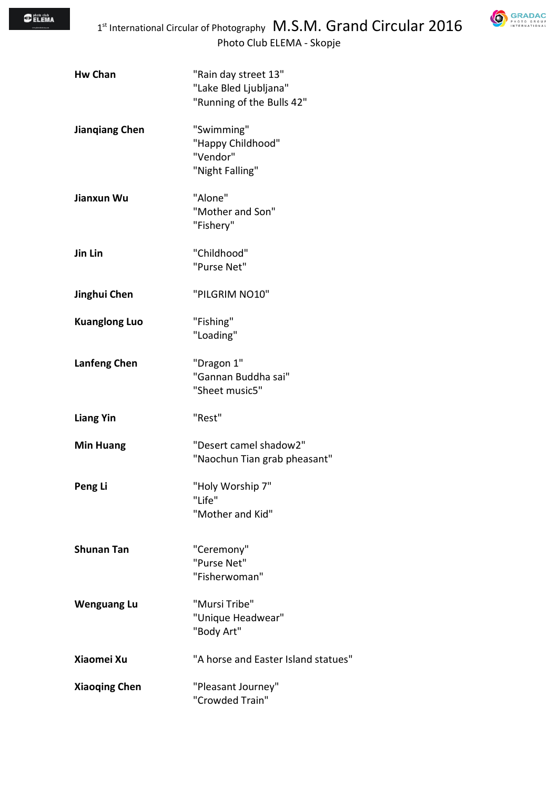

| <b>Hw Chan</b>        | "Rain day street 13"<br>"Lake Bled Ljubljana"<br>"Running of the Bulls 42" |
|-----------------------|----------------------------------------------------------------------------|
| <b>Jiangiang Chen</b> | "Swimming"<br>"Happy Childhood"<br>"Vendor"<br>"Night Falling"             |
| Jianxun Wu            | "Alone"<br>"Mother and Son"<br>"Fishery"                                   |
| Jin Lin               | "Childhood"<br>"Purse Net"                                                 |
| Jinghui Chen          | "PILGRIM NO10"                                                             |
| <b>Kuanglong Luo</b>  | "Fishing"<br>"Loading"                                                     |
| <b>Lanfeng Chen</b>   | "Dragon 1"<br>"Gannan Buddha sai"<br>"Sheet music5"                        |
| <b>Liang Yin</b>      | "Rest"                                                                     |
| <b>Min Huang</b>      | "Desert camel shadow2"<br>"Naochun Tian grab pheasant"                     |
| Peng Li               | "Holy Worship 7"<br>"Life"<br>"Mother and Kid"                             |
| <b>Shunan Tan</b>     | "Ceremony"<br>"Purse Net"<br>"Fisherwoman"                                 |
| <b>Wenguang Lu</b>    | "Mursi Tribe"<br>"Unique Headwear"<br>"Body Art"                           |
| Xiaomei Xu            | "A horse and Easter Island statues"                                        |
| <b>Xiaoqing Chen</b>  | "Pleasant Journey"<br>"Crowded Train"                                      |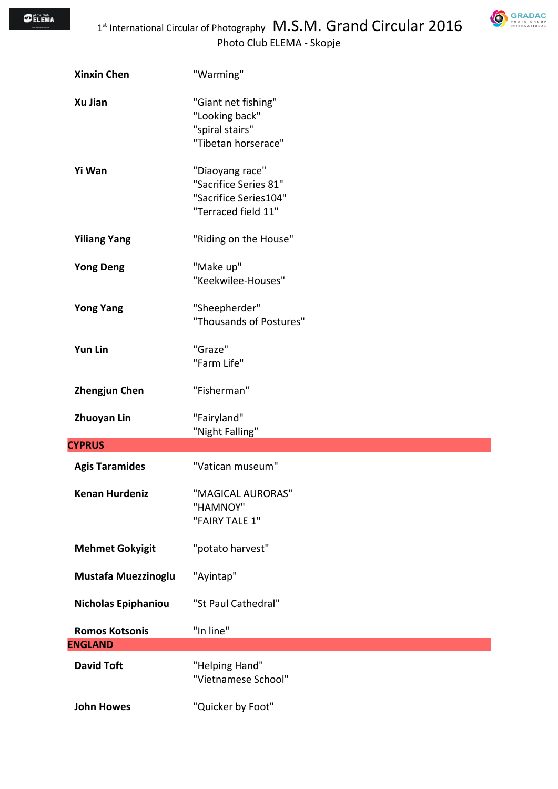

| <b>Xinxin Chen</b>     | "Warming"                                                                                |
|------------------------|------------------------------------------------------------------------------------------|
| Xu Jian                | "Giant net fishing"<br>"Looking back"<br>"spiral stairs"<br>"Tibetan horserace"          |
| Yi Wan                 | "Diaoyang race"<br>"Sacrifice Series 81"<br>"Sacrifice Series104"<br>"Terraced field 11" |
| <b>Yiliang Yang</b>    | "Riding on the House"                                                                    |
| <b>Yong Deng</b>       | "Make up"<br>"Keekwilee-Houses"                                                          |
| <b>Yong Yang</b>       | "Sheepherder"<br>"Thousands of Postures"                                                 |
| <b>Yun Lin</b>         | "Graze"<br>"Farm Life"                                                                   |
| <b>Zhengjun Chen</b>   | "Fisherman"                                                                              |
| <b>Zhuoyan Lin</b>     | "Fairyland"<br>"Night Falling"                                                           |
| <b>CYPRUS</b>          |                                                                                          |
| <b>Agis Taramides</b>  | "Vatican museum"                                                                         |
| <b>Kenan Hurdeniz</b>  | "MAGICAL AURORAS"<br>"HAMNOY"<br>"FAIRY TALE 1"                                          |
| <b>Mehmet Gokyigit</b> | "potato harvest"                                                                         |
| Mustafa Muezzinoglu    | "Ayintap"                                                                                |
| Nicholas Epiphaniou    | "St Paul Cathedral"                                                                      |
| <b>Romos Kotsonis</b>  | "In line"                                                                                |
| <b>ENGLAND</b>         |                                                                                          |
| <b>David Toft</b>      | "Helping Hand"<br>"Vietnamese School"                                                    |
| <b>John Howes</b>      | "Quicker by Foot"                                                                        |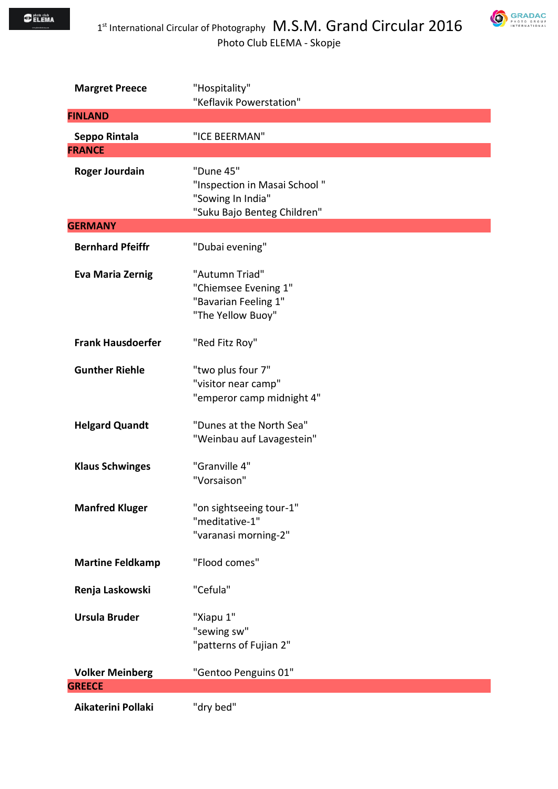$\bigcirc$  photo club<br> $\bigcirc$  ELEMA



| <b>Margret Preece</b>    | "Hospitality"                                                                                 |
|--------------------------|-----------------------------------------------------------------------------------------------|
| <b>FINLAND</b>           | "Keflavik Powerstation"                                                                       |
|                          |                                                                                               |
| Seppo Rintala            | "ICE BEERMAN"                                                                                 |
| <b>FRANCE</b>            |                                                                                               |
| <b>Roger Jourdain</b>    | "Dune 45"<br>"Inspection in Masai School"<br>"Sowing In India"<br>"Suku Bajo Benteg Children" |
| <b>GERMANY</b>           |                                                                                               |
| <b>Bernhard Pfeiffr</b>  | "Dubai evening"                                                                               |
| <b>Eva Maria Zernig</b>  | "Autumn Triad"<br>"Chiemsee Evening 1"<br>"Bavarian Feeling 1"<br>"The Yellow Buoy"           |
| <b>Frank Hausdoerfer</b> | "Red Fitz Roy"                                                                                |
| <b>Gunther Riehle</b>    | "two plus four 7"<br>"visitor near camp"<br>"emperor camp midnight 4"                         |
| <b>Helgard Quandt</b>    | "Dunes at the North Sea"<br>"Weinbau auf Lavagestein"                                         |
| <b>Klaus Schwinges</b>   | "Granville 4"<br>"Vorsaison"                                                                  |
| <b>Manfred Kluger</b>    | "on sightseeing tour-1"<br>"meditative-1"<br>"varanasi morning-2"                             |
| <b>Martine Feldkamp</b>  | "Flood comes"                                                                                 |
| Renja Laskowski          | "Cefula"                                                                                      |
| <b>Ursula Bruder</b>     | "Xiapu 1"<br>"sewing sw"<br>"patterns of Fujian 2"                                            |
| <b>Volker Meinberg</b>   | "Gentoo Penguins 01"                                                                          |
| <b>GREECE</b>            |                                                                                               |
| Aikaterini Pollaki       | "dry bed"                                                                                     |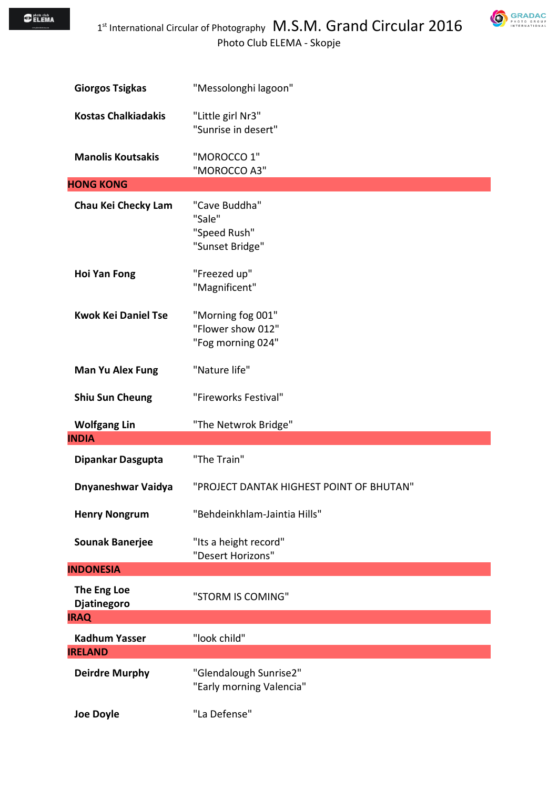**GRADAC** 

| <b>Giorgos Tsigkas</b>                                | "Messolonghi lagoon"                                        |
|-------------------------------------------------------|-------------------------------------------------------------|
| <b>Kostas Chalkiadakis</b>                            | "Little girl Nr3"<br>"Sunrise in desert"                    |
| <b>Manolis Koutsakis</b>                              | "MOROCCO 1"<br>"MOROCCO A3"                                 |
| <b>HONG KONG</b>                                      |                                                             |
| Chau Kei Checky Lam                                   | "Cave Buddha"<br>"Sale"<br>"Speed Rush"<br>"Sunset Bridge"  |
| <b>Hoi Yan Fong</b>                                   | "Freezed up"<br>"Magnificent"                               |
| <b>Kwok Kei Daniel Tse</b>                            | "Morning fog 001"<br>"Flower show 012"<br>"Fog morning 024" |
| <b>Man Yu Alex Fung</b>                               | "Nature life"                                               |
| <b>Shiu Sun Cheung</b>                                | "Fireworks Festival"                                        |
|                                                       |                                                             |
| <b>Wolfgang Lin</b>                                   | "The Netwrok Bridge"                                        |
| <b>INDIA</b>                                          |                                                             |
| Dipankar Dasgupta                                     | "The Train"                                                 |
| Dnyaneshwar Vaidya                                    | "PROJECT DANTAK HIGHEST POINT OF BHUTAN"                    |
| <b>Henry Nongrum</b>                                  | "Behdeinkhlam-Jaintia Hills"                                |
| <b>Sounak Banerjee</b>                                | "Its a height record"<br>"Desert Horizons"                  |
|                                                       |                                                             |
| <b>INDONESIA</b><br>The Eng Loe<br><b>Djatinegoro</b> | "STORM IS COMING"                                           |
| <b>IRAQ</b>                                           |                                                             |
| <b>Kadhum Yasser</b>                                  | "look child"                                                |
| <b>IRELAND</b>                                        |                                                             |
| <b>Deirdre Murphy</b>                                 | "Glendalough Sunrise2"<br>"Early morning Valencia"          |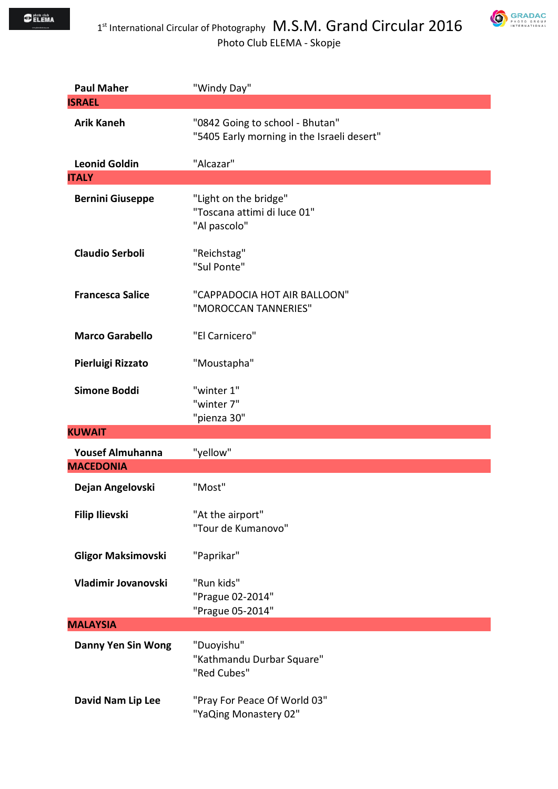



| <b>Paul Maher</b>                           | "Windy Day"                                                                   |
|---------------------------------------------|-------------------------------------------------------------------------------|
| <b>ISRAEL</b>                               |                                                                               |
| <b>Arik Kaneh</b>                           | "0842 Going to school - Bhutan"<br>"5405 Early morning in the Israeli desert" |
| <b>Leonid Goldin</b>                        | "Alcazar"                                                                     |
| <b>ITALY</b>                                |                                                                               |
| <b>Bernini Giuseppe</b>                     | "Light on the bridge"<br>"Toscana attimi di luce 01"<br>"Al pascolo"          |
| <b>Claudio Serboli</b>                      | "Reichstag"<br>"Sul Ponte"                                                    |
| <b>Francesca Salice</b>                     | "CAPPADOCIA HOT AIR BALLOON"<br>"MOROCCAN TANNERIES"                          |
| <b>Marco Garabello</b>                      | "El Carnicero"                                                                |
| Pierluigi Rizzato                           | "Moustapha"                                                                   |
| Simone Boddi                                | "winter 1"<br>"winter 7"<br>"pienza 30"                                       |
| <b>KUWAIT</b>                               |                                                                               |
| <b>Yousef Almuhanna</b><br><b>MACEDONIA</b> | "yellow"                                                                      |
| Dejan Angelovski                            | "Most"                                                                        |
| <b>Filip Ilievski</b>                       | "At the airport"<br>"Tour de Kumanovo"                                        |
| <b>Gligor Maksimovski</b>                   | "Paprikar"                                                                    |
| Vladimir Jovanovski                         | "Run kids"<br>"Prague 02-2014"<br>"Prague 05-2014"                            |
| <b>MALAYSIA</b>                             |                                                                               |
| <b>Danny Yen Sin Wong</b>                   | "Duoyishu"<br>"Kathmandu Durbar Square"<br>"Red Cubes"                        |
| David Nam Lip Lee                           | "Pray For Peace Of World 03"<br>"YaQing Monastery 02"                         |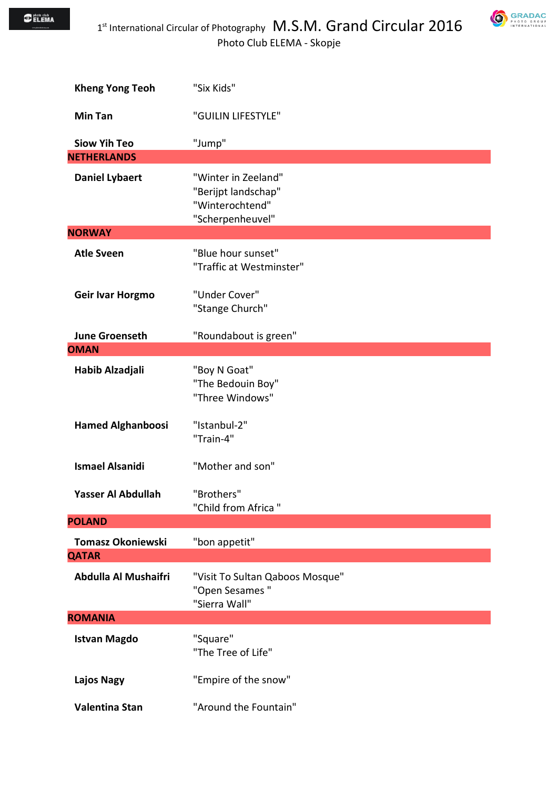$\bigcirc$  photo club<br> $\bigcirc$  ELEMA



| <b>Kheng Yong Teoh</b>   | "Six Kids"                                                                        |
|--------------------------|-----------------------------------------------------------------------------------|
| <b>Min Tan</b>           | "GUILIN LIFESTYLE"                                                                |
| <b>Siow Yih Teo</b>      | "Jump"                                                                            |
| <b>NETHERLANDS</b>       |                                                                                   |
| <b>Daniel Lybaert</b>    | "Winter in Zeeland"<br>"Berijpt landschap"<br>"Winterochtend"<br>"Scherpenheuvel" |
| <b>NORWAY</b>            |                                                                                   |
| <b>Atle Sveen</b>        | "Blue hour sunset"<br>"Traffic at Westminster"                                    |
| <b>Geir Ivar Horgmo</b>  | "Under Cover"<br>"Stange Church"                                                  |
| <b>June Groenseth</b>    | "Roundabout is green"                                                             |
| <b>OMAN</b>              |                                                                                   |
| Habib Alzadjali          | "Boy N Goat"<br>"The Bedouin Boy"<br>"Three Windows"                              |
| <b>Hamed Alghanboosi</b> | "Istanbul-2"<br>"Train-4"                                                         |
| <b>Ismael Alsanidi</b>   | "Mother and son"                                                                  |
| Yasser Al Abdullah       | "Brothers"<br>"Child from Africa"                                                 |
| <b>POLAND</b>            |                                                                                   |
| <b>Tomasz Okoniewski</b> | "bon appetit"                                                                     |
| <b>QATAR</b>             |                                                                                   |
| Abdulla Al Mushaifri     | "Visit To Sultan Qaboos Mosque"<br>"Open Sesames"<br>"Sierra Wall"                |
| <b>ROMANIA</b>           |                                                                                   |
| <b>Istvan Magdo</b>      | "Square"<br>"The Tree of Life"                                                    |
| <b>Lajos Nagy</b>        | "Empire of the snow"                                                              |
| Valentina Stan           | "Around the Fountain"                                                             |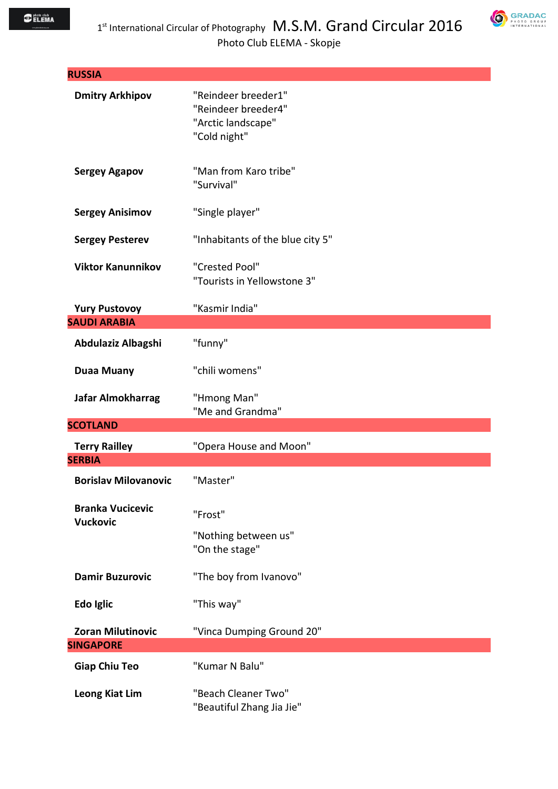

| <b>RUSSIA</b>                              |                                                                                  |
|--------------------------------------------|----------------------------------------------------------------------------------|
| <b>Dmitry Arkhipov</b>                     | "Reindeer breeder1"<br>"Reindeer breeder4"<br>"Arctic landscape"<br>"Cold night" |
| <b>Sergey Agapov</b>                       | "Man from Karo tribe"<br>"Survival"                                              |
| <b>Sergey Anisimov</b>                     | "Single player"                                                                  |
| <b>Sergey Pesterev</b>                     | "Inhabitants of the blue city 5"                                                 |
| <b>Viktor Kanunnikov</b>                   | "Crested Pool"<br>"Tourists in Yellowstone 3"                                    |
| <b>Yury Pustovoy</b>                       | "Kasmir India"                                                                   |
| <b>SAUDI ARABIA</b>                        |                                                                                  |
| Abdulaziz Albagshi                         | "funny"                                                                          |
| <b>Duaa Muany</b>                          | "chili womens"                                                                   |
| Jafar Almokharrag                          | "Hmong Man"<br>"Me and Grandma"                                                  |
| <b>SCOTLAND</b>                            |                                                                                  |
| <b>Terry Railley</b><br><b>SERBIA</b>      | "Opera House and Moon"                                                           |
|                                            |                                                                                  |
| <b>Borislav Milovanovic</b>                | "Master"                                                                         |
| <b>Branka Vucicevic</b><br><b>Vuckovic</b> | "Frost"                                                                          |
|                                            | "Nothing between us"<br>"On the stage"                                           |
| <b>Damir Buzurovic</b>                     | "The boy from Ivanovo"                                                           |
| Edo Iglic                                  | "This way"                                                                       |
| <b>Zoran Milutinovic</b>                   | "Vinca Dumping Ground 20"                                                        |
| <b>SINGAPORE</b>                           |                                                                                  |
| <b>Giap Chiu Teo</b>                       | "Kumar N Balu"                                                                   |
| <b>Leong Kiat Lim</b>                      | "Beach Cleaner Two"<br>"Beautiful Zhang Jia Jie"                                 |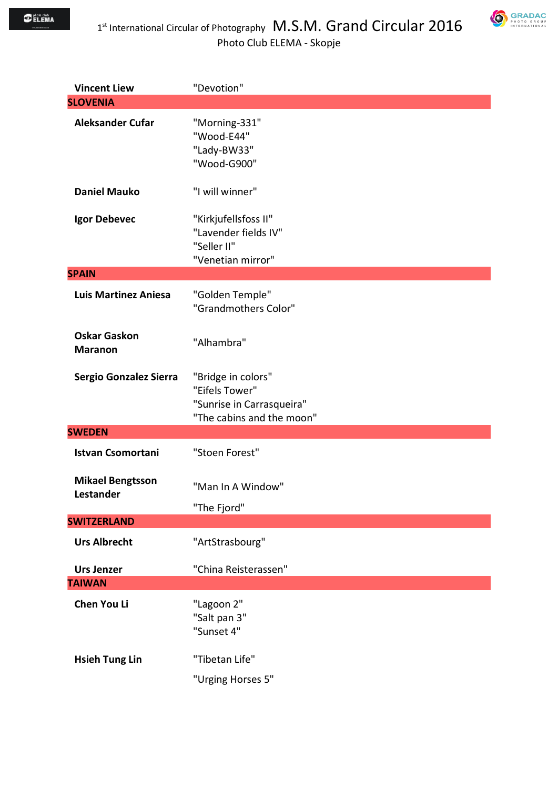



| <b>Vincent Liew</b>                   | "Devotion"                                                                                     |
|---------------------------------------|------------------------------------------------------------------------------------------------|
| <b>SLOVENIA</b>                       |                                                                                                |
| <b>Aleksander Cufar</b>               | "Morning-331"<br>"Wood-E44"<br>"Lady-BW33"<br>"Wood-G900"                                      |
| <b>Daniel Mauko</b>                   | "I will winner"                                                                                |
| Igor Debevec                          | "Kirkjufellsfoss II"<br>"Lavender fields IV"<br>"Seller II"<br>"Venetian mirror"               |
| <b>SPAIN</b>                          |                                                                                                |
| <b>Luis Martinez Aniesa</b>           | "Golden Temple"<br>"Grandmothers Color"                                                        |
| <b>Oskar Gaskon</b><br><b>Maranon</b> | "Alhambra"                                                                                     |
| Sergio Gonzalez Sierra                | "Bridge in colors"<br>"Eifels Tower"<br>"Sunrise in Carrasqueira"<br>"The cabins and the moon" |
| <b>SWEDEN</b>                         |                                                                                                |
| <b>Istvan Csomortani</b>              | "Stoen Forest"                                                                                 |
| <b>Mikael Bengtsson</b><br>Lestander  | "Man In A Window"<br>"The Fjord"                                                               |
| <b>SWITZERLAND</b>                    |                                                                                                |
| <b>Urs Albrecht</b>                   | "ArtStrasbourg"                                                                                |
| <b>Urs Jenzer</b>                     | "China Reisterassen"                                                                           |
| <b>TAIWAN</b>                         |                                                                                                |
| Chen You Li                           | "Lagoon 2"<br>"Salt pan 3"<br>"Sunset 4"                                                       |
| <b>Hsieh Tung Lin</b>                 | "Tibetan Life"<br>"Urging Horses 5"                                                            |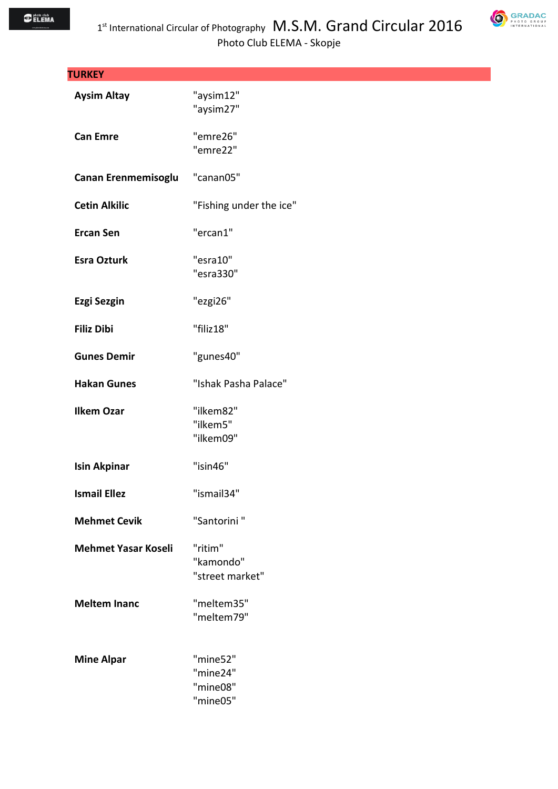

| <b>TURKEY</b>              |                                              |
|----------------------------|----------------------------------------------|
| <b>Aysim Altay</b>         | "aysim12"<br>"aysim27"                       |
| <b>Can Emre</b>            | "emre26"<br>"emre22"                         |
| Canan Erenmemisoglu        | "canan05"                                    |
| <b>Cetin Alkilic</b>       | "Fishing under the ice"                      |
| <b>Ercan Sen</b>           | "ercan1"                                     |
| <b>Esra Ozturk</b>         | "esra10"<br>"esra330"                        |
| <b>Ezgi Sezgin</b>         | "ezgi26"                                     |
| <b>Filiz Dibi</b>          | "filiz18"                                    |
| <b>Gunes Demir</b>         | "gunes40"                                    |
| <b>Hakan Gunes</b>         | "Ishak Pasha Palace"                         |
| <b>Ilkem Ozar</b>          | "ilkem82"<br>"ilkem5"<br>"ilkem09"           |
| <b>Isin Akpinar</b>        | "isin46"                                     |
| <b>Ismail Ellez</b>        | "ismail34"                                   |
| <b>Mehmet Cevik</b>        | "Santorini"                                  |
| <b>Mehmet Yasar Koseli</b> | "ritim"<br>"kamondo"<br>"street market"      |
| <b>Meltem Inanc</b>        | "meltem35"<br>"meltem79"                     |
| <b>Mine Alpar</b>          | "mine52"<br>"mine24"<br>"mine08"<br>"mine05" |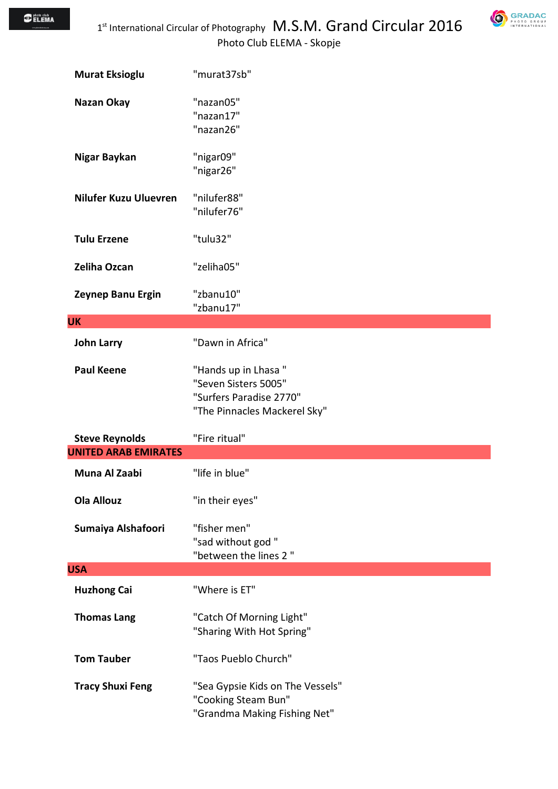$\bigcirc$  photo club<br> $\bigcirc$  ELEMA



| <b>Murat Eksioglu</b>            | "murat37sb"                                                                                            |
|----------------------------------|--------------------------------------------------------------------------------------------------------|
| Nazan Okay                       | "nazan05"<br>"nazan17"<br>"nazan26"                                                                    |
| Nigar Baykan                     | "nigar09"<br>"nigar26"                                                                                 |
| Nilufer Kuzu Uluevren            | "nilufer88"<br>"nilufer76"                                                                             |
| <b>Tulu Erzene</b>               | "tulu32"                                                                                               |
| <b>Zeliha Ozcan</b>              | "zeliha05"                                                                                             |
| Zeynep Banu Ergin                | "zbanu10"<br>"zbanu17"                                                                                 |
| <b>UK</b>                        |                                                                                                        |
| <b>John Larry</b>                | "Dawn in Africa"                                                                                       |
| <b>Paul Keene</b>                | "Hands up in Lhasa"<br>"Seven Sisters 5005"<br>"Surfers Paradise 2770"<br>"The Pinnacles Mackerel Sky" |
| <b>Steve Reynolds</b>            | "Fire ritual"                                                                                          |
| <b>UNITED ARAB EMIRATES</b>      |                                                                                                        |
| Muna Al Zaabi                    | "life in blue"                                                                                         |
| <b>Ola Allouz</b>                | "in their eyes"                                                                                        |
|                                  |                                                                                                        |
| Sumaiya Alshafoori               | "fisher men"<br>"sad without god"<br>"between the lines 2"                                             |
|                                  |                                                                                                        |
| <b>Huzhong Cai</b>               | "Where is ET"                                                                                          |
| <b>USA</b><br><b>Thomas Lang</b> | "Catch Of Morning Light"<br>"Sharing With Hot Spring"                                                  |
| <b>Tom Tauber</b>                | "Taos Pueblo Church"                                                                                   |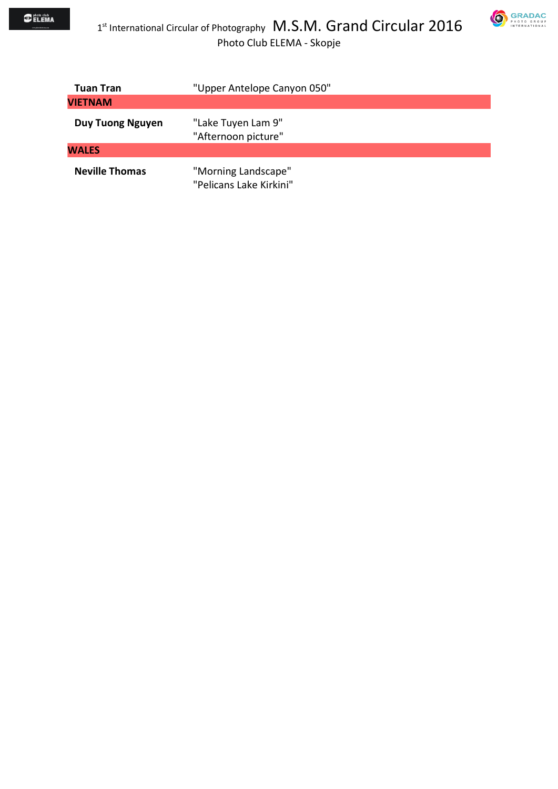

| Tuan Tran               | "Upper Antelope Canyon 050"                    |
|-------------------------|------------------------------------------------|
| <b>VIETNAM</b>          |                                                |
| <b>Duy Tuong Nguyen</b> | "Lake Tuyen Lam 9"<br>"Afternoon picture"      |
| <b>WALES</b>            |                                                |
| <b>Neville Thomas</b>   | "Morning Landscape"<br>"Pelicans Lake Kirkini" |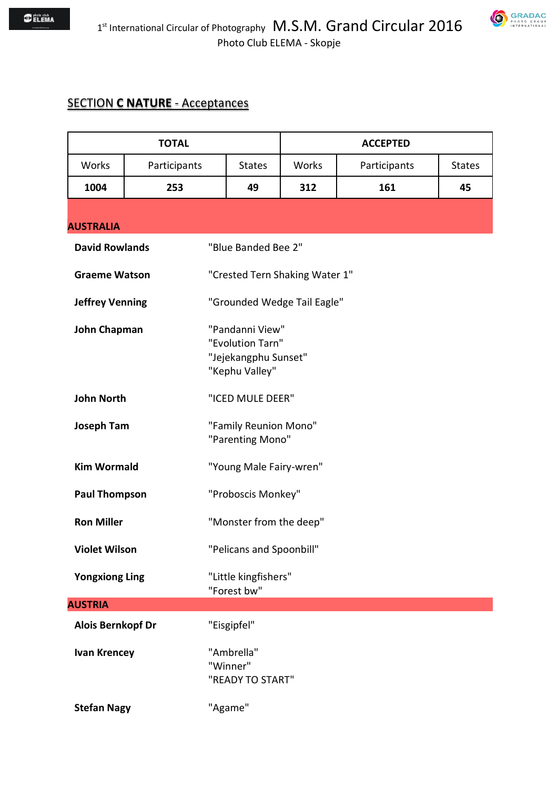### SECTION **C NATURE** - Acceptances

| <b>TOTAL</b>             |              |                                                                               |                                | <b>ACCEPTED</b> |               |
|--------------------------|--------------|-------------------------------------------------------------------------------|--------------------------------|-----------------|---------------|
| Works                    | Participants | <b>States</b>                                                                 | Works                          | Participants    | <b>States</b> |
| 1004                     | 253          | 49                                                                            | 312                            | 161             | 45            |
| <b>AUSTRALIA</b>         |              |                                                                               |                                |                 |               |
| <b>David Rowlands</b>    |              | "Blue Banded Bee 2"                                                           |                                |                 |               |
| <b>Graeme Watson</b>     |              |                                                                               | "Crested Tern Shaking Water 1" |                 |               |
| <b>Jeffrey Venning</b>   |              |                                                                               | "Grounded Wedge Tail Eagle"    |                 |               |
| John Chapman             |              | "Pandanni View"<br>"Evolution Tarn"<br>"Jejekangphu Sunset"<br>"Kephu Valley" |                                |                 |               |
| <b>John North</b>        |              | "ICED MULE DEER"                                                              |                                |                 |               |
| <b>Joseph Tam</b>        |              | "Family Reunion Mono"<br>"Parenting Mono"                                     |                                |                 |               |
| <b>Kim Wormald</b>       |              | "Young Male Fairy-wren"                                                       |                                |                 |               |
| <b>Paul Thompson</b>     |              | "Proboscis Monkey"                                                            |                                |                 |               |
| <b>Ron Miller</b>        |              | "Monster from the deep"                                                       |                                |                 |               |
| <b>Violet Wilson</b>     |              | "Pelicans and Spoonbill"                                                      |                                |                 |               |
| <b>Yongxiong Ling</b>    |              | "Little kingfishers"<br>"Forest bw"                                           |                                |                 |               |
| <b>AUSTRIA</b>           |              |                                                                               |                                |                 |               |
| <b>Alois Bernkopf Dr</b> |              | "Eisgipfel"                                                                   |                                |                 |               |
| <b>Ivan Krencey</b>      |              | "Ambrella"<br>"Winner"<br>"READY TO START"                                    |                                |                 |               |
| <b>Stefan Nagy</b>       |              | "Agame"                                                                       |                                |                 |               |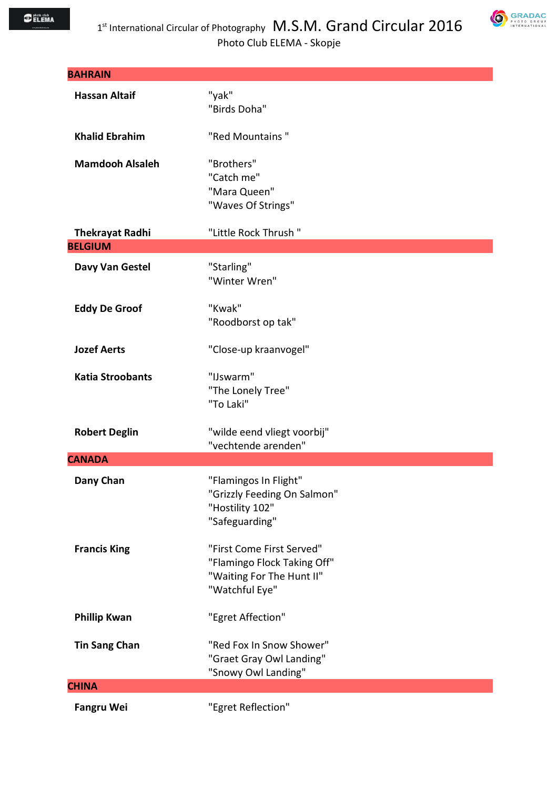

| <b>BAHRAIN</b>          |                                                                                                         |
|-------------------------|---------------------------------------------------------------------------------------------------------|
| <b>Hassan Altaif</b>    | "yak"<br>"Birds Doha"                                                                                   |
| <b>Khalid Ebrahim</b>   | "Red Mountains"                                                                                         |
| <b>Mamdooh Alsaleh</b>  | "Brothers"<br>"Catch me"<br>"Mara Queen"<br>"Waves Of Strings"                                          |
| <b>Thekrayat Radhi</b>  | "Little Rock Thrush"                                                                                    |
| <b>BELGIUM</b>          |                                                                                                         |
| Davy Van Gestel         | "Starling"<br>"Winter Wren"                                                                             |
| <b>Eddy De Groof</b>    | "Kwak"<br>"Roodborst op tak"                                                                            |
| <b>Jozef Aerts</b>      | "Close-up kraanvogel"                                                                                   |
| <b>Katia Stroobants</b> | "IJswarm"<br>"The Lonely Tree"<br>"To Laki"                                                             |
| <b>Robert Deglin</b>    | "wilde eend vliegt voorbij"<br>"vechtende arenden"                                                      |
| <b>CANADA</b>           |                                                                                                         |
| Dany Chan               | "Flamingos In Flight"<br>"Grizzly Feeding On Salmon"<br>"Hostility 102"<br>"Safeguarding"               |
| <b>Francis King</b>     | "First Come First Served"<br>"Flamingo Flock Taking Off"<br>"Waiting For The Hunt II"<br>"Watchful Eye" |
| <b>Phillip Kwan</b>     | "Egret Affection"                                                                                       |
| <b>Tin Sang Chan</b>    | "Red Fox In Snow Shower"<br>"Graet Gray Owl Landing"<br>"Snowy Owl Landing"                             |
| <b>CHINA</b>            |                                                                                                         |
| <b>Fangru Wei</b>       | "Egret Reflection"                                                                                      |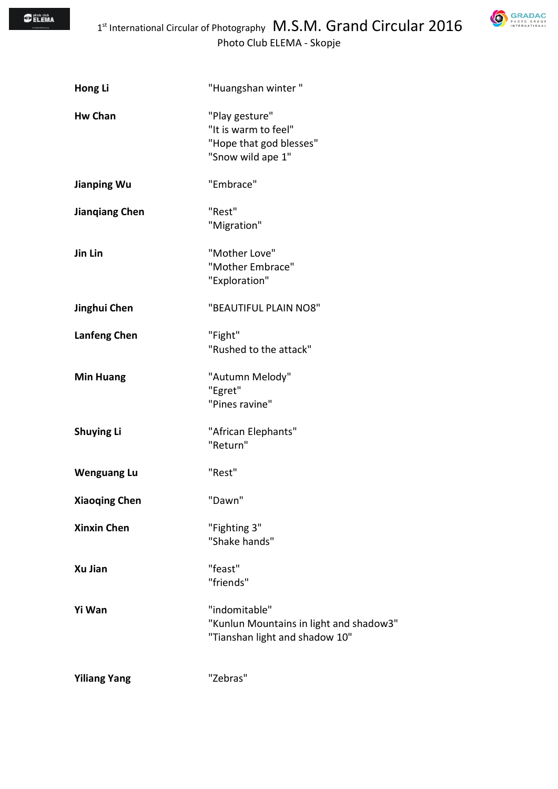**GRADAC** 

| Hong Li               | "Huangshan winter"                                                                         |
|-----------------------|--------------------------------------------------------------------------------------------|
| <b>Hw Chan</b>        | "Play gesture"<br>"It is warm to feel"<br>"Hope that god blesses"<br>"Snow wild ape 1"     |
| <b>Jianping Wu</b>    | "Embrace"                                                                                  |
| <b>Jianqiang Chen</b> | "Rest"<br>"Migration"                                                                      |
| Jin Lin               | "Mother Love"<br>"Mother Embrace"<br>"Exploration"                                         |
| Jinghui Chen          | "BEAUTIFUL PLAIN NO8"                                                                      |
| <b>Lanfeng Chen</b>   | "Fight"<br>"Rushed to the attack"                                                          |
| <b>Min Huang</b>      | "Autumn Melody"<br>"Egret"<br>"Pines ravine"                                               |
| <b>Shuying Li</b>     | "African Elephants"<br>"Return"                                                            |
| <b>Wenguang Lu</b>    | "Rest"                                                                                     |
| <b>Xiaoqing Chen</b>  | "Dawn"                                                                                     |
| <b>Xinxin Chen</b>    | "Fighting 3"<br>"Shake hands"                                                              |
| Xu Jian               | "feast"<br>"friends"                                                                       |
| Yi Wan                | "indomitable"<br>"Kunlun Mountains in light and shadow3"<br>"Tianshan light and shadow 10" |
| <b>Yiliang Yang</b>   | "Zebras"                                                                                   |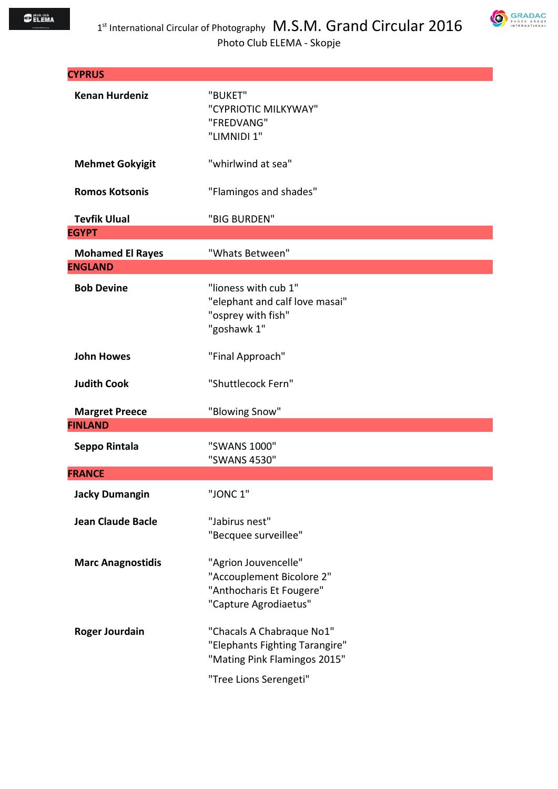

| <b>CYPRUS</b>                           |                                                                                                                       |
|-----------------------------------------|-----------------------------------------------------------------------------------------------------------------------|
| <b>Kenan Hurdeniz</b>                   | "BUKET"<br>"CYPRIOTIC MILKYWAY"<br>"FREDVANG"<br>"LIMNIDI 1"                                                          |
| <b>Mehmet Gokyigit</b>                  | "whirlwind at sea"                                                                                                    |
| <b>Romos Kotsonis</b>                   | "Flamingos and shades"                                                                                                |
| <b>Tevfik Ulual</b>                     | "BIG BURDEN"                                                                                                          |
| <b>EGYPT</b>                            |                                                                                                                       |
| <b>Mohamed El Rayes</b>                 | "Whats Between"                                                                                                       |
| <b>ENGLAND</b>                          |                                                                                                                       |
| <b>Bob Devine</b>                       | "lioness with cub 1"<br>"elephant and calf love masai"<br>"osprey with fish"<br>"goshawk 1"                           |
| <b>John Howes</b>                       | "Final Approach"                                                                                                      |
| <b>Judith Cook</b>                      | "Shuttlecock Fern"                                                                                                    |
| <b>Margret Preece</b><br><b>FINLAND</b> | "Blowing Snow"                                                                                                        |
| Seppo Rintala                           | "SWANS 1000"<br>"SWANS 4530"                                                                                          |
| <b>FRANCE</b>                           |                                                                                                                       |
| <b>Jacky Dumangin</b>                   | "JONC 1"                                                                                                              |
| <b>Jean Claude Bacle</b>                | "Jabirus nest"<br>"Becquee surveillee"                                                                                |
| <b>Marc Anagnostidis</b>                | "Agrion Jouvencelle"<br>"Accouplement Bicolore 2"<br>"Anthocharis Et Fougere"<br>"Capture Agrodiaetus"                |
| <b>Roger Jourdain</b>                   | "Chacals A Chabraque No1"<br>"Elephants Fighting Tarangire"<br>"Mating Pink Flamingos 2015"<br>"Tree Lions Serengeti" |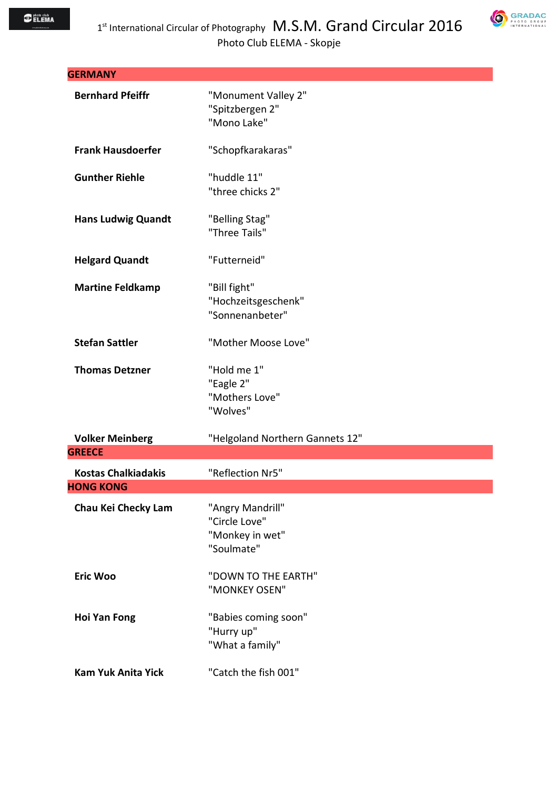

| <b>GERMANY</b>             |                                                                    |
|----------------------------|--------------------------------------------------------------------|
| <b>Bernhard Pfeiffr</b>    | "Monument Valley 2"<br>"Spitzbergen 2"<br>"Mono Lake"              |
| <b>Frank Hausdoerfer</b>   | "Schopfkarakaras"                                                  |
| <b>Gunther Riehle</b>      | "huddle 11"<br>"three chicks 2"                                    |
| <b>Hans Ludwig Quandt</b>  | "Belling Stag"<br>"Three Tails"                                    |
| <b>Helgard Quandt</b>      | "Futterneid"                                                       |
| <b>Martine Feldkamp</b>    | "Bill fight"<br>"Hochzeitsgeschenk"<br>"Sonnenanbeter"             |
| <b>Stefan Sattler</b>      | "Mother Moose Love"                                                |
| <b>Thomas Detzner</b>      | "Hold me 1"<br>"Eagle 2"<br>"Mothers Love"<br>"Wolves"             |
| <b>Volker Meinberg</b>     | "Helgoland Northern Gannets 12"                                    |
| <b>GREECE</b>              |                                                                    |
| <b>Kostas Chalkiadakis</b> | "Reflection Nr5"                                                   |
| <b>HONG KONG</b>           |                                                                    |
| Chau Kei Checky Lam        | "Angry Mandrill"<br>"Circle Love"<br>"Monkey in wet"<br>"Soulmate" |
| <b>Eric Woo</b>            | "DOWN TO THE EARTH"<br>"MONKEY OSEN"                               |
| <b>Hoi Yan Fong</b>        | "Babies coming soon"<br>"Hurry up"<br>"What a family"              |
| <b>Kam Yuk Anita Yick</b>  | "Catch the fish 001"                                               |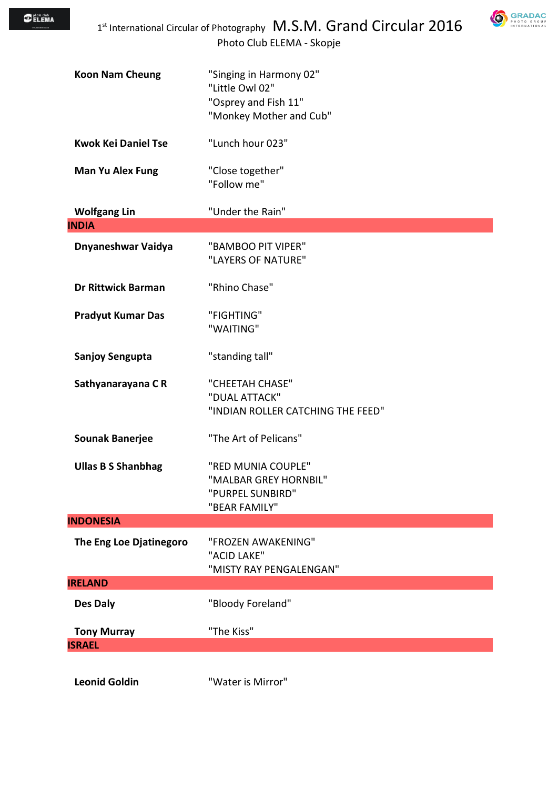

| <b>Koon Nam Cheung</b>              | "Singing in Harmony 02"<br>"Little Owl 02"<br>"Osprey and Fish 11"<br>"Monkey Mother and Cub" |
|-------------------------------------|-----------------------------------------------------------------------------------------------|
| <b>Kwok Kei Daniel Tse</b>          | "Lunch hour 023"                                                                              |
| <b>Man Yu Alex Fung</b>             | "Close together"<br>"Follow me"                                                               |
| <b>Wolfgang Lin</b>                 | "Under the Rain"                                                                              |
| <b>INDIA</b>                        |                                                                                               |
| Dnyaneshwar Vaidya                  | "BAMBOO PIT VIPER"<br>"LAYERS OF NATURE"                                                      |
| <b>Dr Rittwick Barman</b>           | "Rhino Chase"                                                                                 |
| <b>Pradyut Kumar Das</b>            | "FIGHTING"<br>"WAITING"                                                                       |
| <b>Sanjoy Sengupta</b>              | "standing tall"                                                                               |
| Sathyanarayana CR                   | "CHEETAH CHASE"<br>"DUAL ATTACK"<br>"INDIAN ROLLER CATCHING THE FEED"                         |
| <b>Sounak Banerjee</b>              | "The Art of Pelicans"                                                                         |
| <b>Ullas B S Shanbhag</b>           | "RED MUNIA COUPLE"<br>"MALBAR GREY HORNBIL"<br>"PURPEL SUNBIRD"<br>"BEAR FAMILY"              |
| <b>INDONESIA</b>                    |                                                                                               |
| The Eng Loe Djatinegoro             | "FROZEN AWAKENING"<br>"ACID LAKE"<br>"MISTY RAY PENGALENGAN"                                  |
| <b>IRELAND</b>                      |                                                                                               |
| Des Daly                            | "Bloody Foreland"                                                                             |
| <b>Tony Murray</b><br><b>ISRAEL</b> | "The Kiss"                                                                                    |
|                                     |                                                                                               |
| <b>Leonid Goldin</b>                | "Water is Mirror"                                                                             |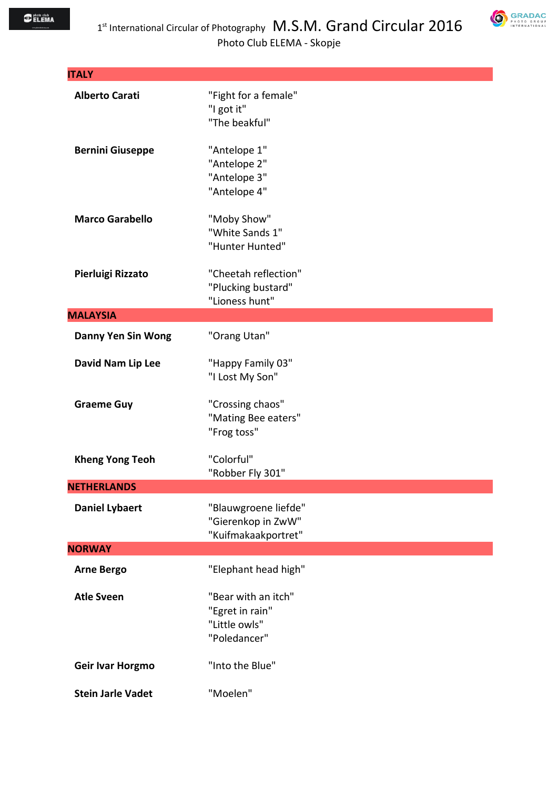

| <b>ITALY</b>              |                                                                         |
|---------------------------|-------------------------------------------------------------------------|
| <b>Alberto Carati</b>     | "Fight for a female"<br>"I got it"<br>"The beakful"                     |
| <b>Bernini Giuseppe</b>   | "Antelope 1"<br>"Antelope 2"<br>"Antelope 3"<br>"Antelope 4"            |
| <b>Marco Garabello</b>    | "Moby Show"<br>"White Sands 1"<br>"Hunter Hunted"                       |
| Pierluigi Rizzato         | "Cheetah reflection"<br>"Plucking bustard"<br>"Lioness hunt"            |
| <b>MALAYSIA</b>           |                                                                         |
| <b>Danny Yen Sin Wong</b> | "Orang Utan"                                                            |
| David Nam Lip Lee         | "Happy Family 03"<br>"I Lost My Son"                                    |
| <b>Graeme Guy</b>         | "Crossing chaos"<br>"Mating Bee eaters"<br>"Frog toss"                  |
| <b>Kheng Yong Teoh</b>    | "Colorful"<br>"Robber Fly 301"                                          |
| <b>NFTHFRLANDS</b>        |                                                                         |
| <b>Daniel Lybaert</b>     | "Blauwgroene liefde"<br>"Gierenkop in ZwW"<br>"Kuifmakaakportret"       |
| <b>NORWAY</b>             |                                                                         |
| <b>Arne Bergo</b>         | "Elephant head high"                                                    |
| <b>Atle Sveen</b>         | "Bear with an itch"<br>"Egret in rain"<br>"Little owls"<br>"Poledancer" |
| Geir Ivar Horgmo          | "Into the Blue"                                                         |
| <b>Stein Jarle Vadet</b>  | "Moelen"                                                                |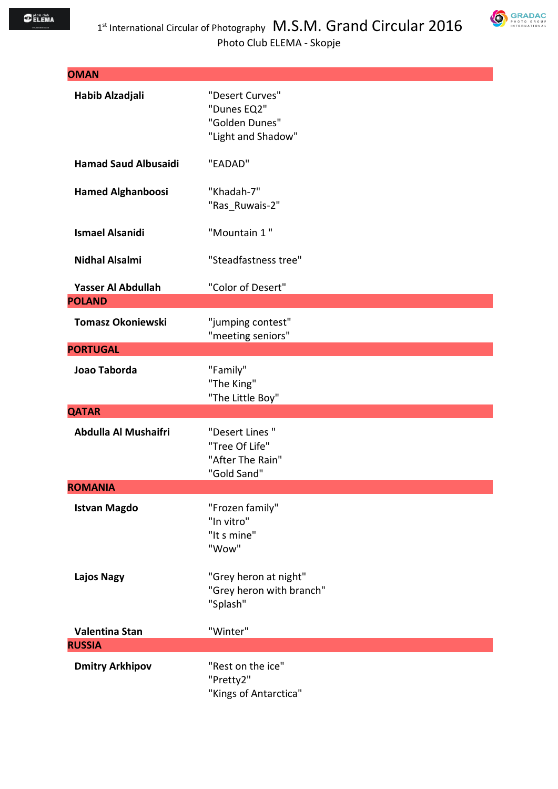

| <b>OMAN</b>                         |                                                                        |
|-------------------------------------|------------------------------------------------------------------------|
| Habib Alzadjali                     | "Desert Curves"<br>"Dunes EQ2"<br>"Golden Dunes"<br>"Light and Shadow" |
| <b>Hamad Saud Albusaidi</b>         | "EADAD"                                                                |
| <b>Hamed Alghanboosi</b>            | "Khadah-7"<br>"Ras_Ruwais-2"                                           |
| <b>Ismael Alsanidi</b>              | "Mountain 1"                                                           |
| <b>Nidhal Alsalmi</b>               | "Steadfastness tree"                                                   |
| Yasser Al Abdullah<br><b>POLAND</b> | "Color of Desert"                                                      |
| <b>Tomasz Okoniewski</b>            | "jumping contest"<br>"meeting seniors"                                 |
| <b>PORTUGAL</b>                     |                                                                        |
| Joao Taborda                        | "Family"<br>"The King"<br>"The Little Boy"                             |
| <b>QATAR</b>                        |                                                                        |
| Abdulla Al Mushaifri                | "Desert Lines"<br>"Tree Of Life"<br>"After The Rain"<br>"Gold Sand"    |
| <b>ROMANIA</b>                      |                                                                        |
| <b>Istvan Magdo</b>                 | "Frozen family"<br>"In vitro"<br>"It s mine"<br>"Wow"                  |
| <b>Lajos Nagy</b>                   | "Grey heron at night"<br>"Grey heron with branch"<br>"Splash"          |
| <b>Valentina Stan</b>               | "Winter"                                                               |
| <b>RUSSIA</b>                       |                                                                        |
| <b>Dmitry Arkhipov</b>              | "Rest on the ice"<br>"Pretty2"<br>"Kings of Antarctica"                |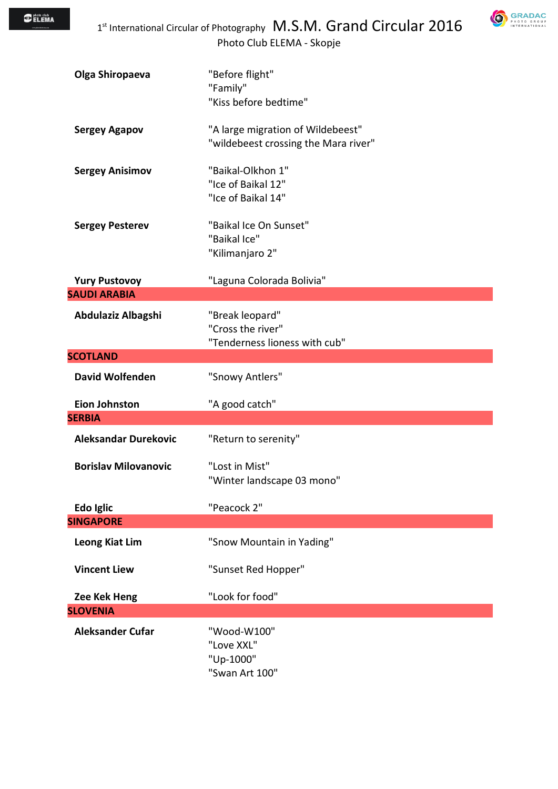

| Olga Shiropaeva                       | "Before flight"<br>"Family"                                               |  |
|---------------------------------------|---------------------------------------------------------------------------|--|
|                                       | "Kiss before bedtime"                                                     |  |
| <b>Sergey Agapov</b>                  | "A large migration of Wildebeest"<br>"wildebeest crossing the Mara river" |  |
| <b>Sergey Anisimov</b>                | "Baikal-Olkhon 1"<br>"Ice of Baikal 12"<br>"Ice of Baikal 14"             |  |
| <b>Sergey Pesterev</b>                | "Baikal Ice On Sunset"<br>"Baikal Ice"<br>"Kilimanjaro 2"                 |  |
| <b>Yury Pustovoy</b>                  | "Laguna Colorada Bolivia"                                                 |  |
| <b>SAUDI ARABIA</b>                   |                                                                           |  |
| Abdulaziz Albagshi                    | "Break leopard"<br>"Cross the river"<br>"Tenderness lioness with cub"     |  |
| <b>SCOTLAND</b>                       |                                                                           |  |
| <b>David Wolfenden</b>                | "Snowy Antlers"                                                           |  |
| <b>Eion Johnston</b><br><b>SERBIA</b> | "A good catch"                                                            |  |
| <b>Aleksandar Durekovic</b>           | "Return to serenity"                                                      |  |
| <b>Borislav Milovanovic</b>           | "Lost in Mist"<br>"Winter landscape 03 mono"                              |  |
| Edo Iglic                             | "Peacock 2"                                                               |  |
| <b>SINGAPORE</b>                      |                                                                           |  |
| <b>Leong Kiat Lim</b>                 | "Snow Mountain in Yading"                                                 |  |
| <b>Vincent Liew</b>                   | "Sunset Red Hopper"                                                       |  |
| Zee Kek Heng                          | "Look for food"                                                           |  |
| <b>SLOVENIA</b>                       |                                                                           |  |
| <b>Aleksander Cufar</b>               | "Wood-W100"<br>"Love XXL"<br>"Up-1000"<br>"Swan Art 100"                  |  |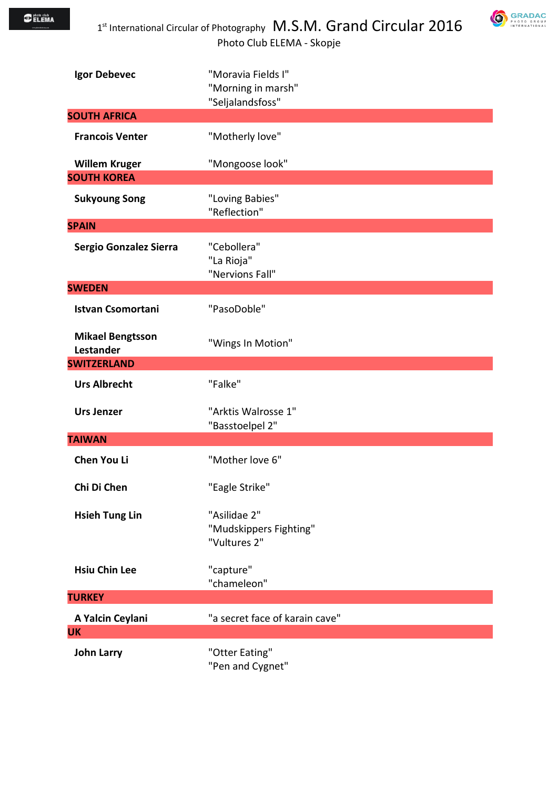



| Igor Debevec                                | "Moravia Fields I"<br>"Morning in marsh"<br>"Seljalandsfoss" |
|---------------------------------------------|--------------------------------------------------------------|
| <b>SOUTH AFRICA</b>                         |                                                              |
| <b>Francois Venter</b>                      | "Motherly love"                                              |
| <b>Willem Kruger</b>                        | "Mongoose look"                                              |
| <b>SOUTH KOREA</b>                          |                                                              |
| <b>Sukyoung Song</b>                        | "Loving Babies"<br>"Reflection"                              |
| <b>SPAIN</b>                                |                                                              |
| Sergio Gonzalez Sierra                      | "Cebollera"<br>"La Rioja"<br>"Nervions Fall"                 |
| <b>SWEDEN</b>                               |                                                              |
| <b>Istvan Csomortani</b>                    | "PasoDoble"                                                  |
| <b>Mikael Bengtsson</b><br><b>Lestander</b> | "Wings In Motion"                                            |
| <b>SWITZERLAND</b>                          |                                                              |
| <b>Urs Albrecht</b>                         | "Falke"                                                      |
| <b>Urs Jenzer</b>                           | "Arktis Walrosse 1"<br>"Basstoelpel 2"                       |
| <b>TAIWAN</b>                               |                                                              |
| <b>Chen You Li</b>                          | "Mother love 6"                                              |
| Chi Di Chen                                 | "Eagle Strike"                                               |
| <b>Hsieh Tung Lin</b>                       | "Asilidae 2"<br>"Mudskippers Fighting"<br>"Vultures 2"       |
| <b>Hsiu Chin Lee</b>                        | "capture"<br>"chameleon"                                     |
| <b>TURKEY</b>                               |                                                              |
| A Yalcin Ceylani                            | "a secret face of karain cave"                               |
| <b>UK</b>                                   |                                                              |
| <b>John Larry</b>                           | "Otter Eating"<br>"Pen and Cygnet"                           |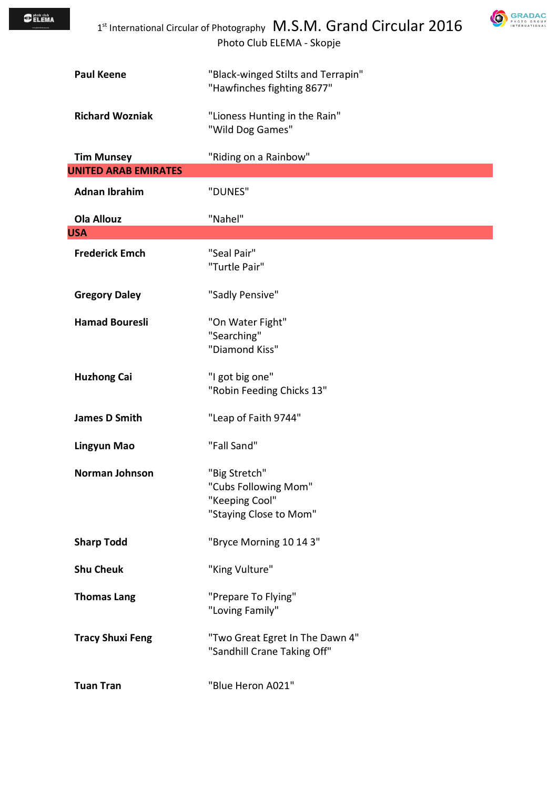| <b>O</b> FLEMA |                                                  | 1st International Circular of Photography M.S.M. Grand Circular 2016<br>Photo Club ELEMA - Skopje |  |
|----------------|--------------------------------------------------|---------------------------------------------------------------------------------------------------|--|
|                | <b>Paul Keene</b>                                | "Black-winged Stilts and Terrapin"<br>"Hawfinches fighting 8677"                                  |  |
|                | <b>Richard Wozniak</b>                           | "Lioness Hunting in the Rain"<br>"Wild Dog Games"                                                 |  |
|                | <b>Tim Munsey</b><br><b>UNITED ARAB EMIRATES</b> | "Riding on a Rainbow"                                                                             |  |
|                | <b>Adnan Ibrahim</b>                             | "DUNES"                                                                                           |  |
| <b>USA</b>     | <b>Ola Allouz</b>                                | "Nahel"                                                                                           |  |
|                | <b>Frederick Emch</b>                            | "Seal Pair"<br>"Turtle Pair"                                                                      |  |
|                | <b>Gregory Daley</b>                             | "Sadly Pensive"                                                                                   |  |
|                | <b>Hamad Bouresli</b>                            | "On Water Fight"<br>"Searching"<br>"Diamond Kiss"                                                 |  |
|                | <b>Huzhong Cai</b>                               | "I got big one"<br>"Robin Feeding Chicks 13"                                                      |  |
|                | <b>James D Smith</b>                             | "Leap of Faith 9744"                                                                              |  |
|                | <b>Lingyun Mao</b>                               | "Fall Sand"                                                                                       |  |
|                | Norman Johnson                                   | "Big Stretch"<br>"Cubs Following Mom"<br>"Keeping Cool"<br>"Staying Close to Mom"                 |  |
|                | <b>Sharp Todd</b>                                | "Bryce Morning 10 14 3"                                                                           |  |
|                | <b>Shu Cheuk</b>                                 | "King Vulture"                                                                                    |  |
|                | <b>Thomas Lang</b>                               | "Prepare To Flying"<br>"Loving Family"                                                            |  |
|                | <b>Tracy Shuxi Feng</b>                          | "Two Great Egret In The Dawn 4"<br>"Sandhill Crane Taking Off"                                    |  |
|                | <b>Tuan Tran</b>                                 | "Blue Heron A021"                                                                                 |  |